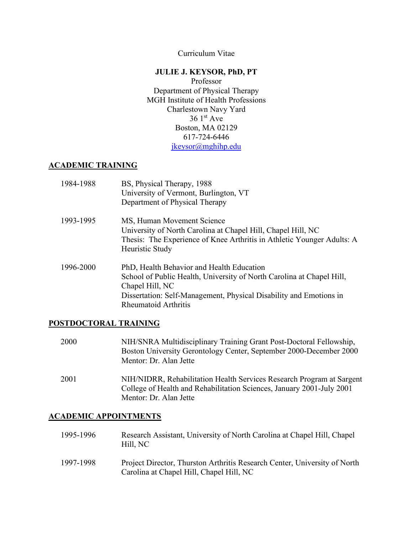Curriculum Vitae

# **JULIE J. KEYSOR, PhD, PT**

Professor Department of Physical Therapy MGH Institute of Health Professions Charlestown Navy Yard  $361<sup>st</sup>$  Ave Boston, MA 02129 617-724-6446 [jkeysor@mghihp.edu](mailto:jkeysor@mghihp.edu)

# **ACADEMIC TRAINING**

| 1984-1988 | BS, Physical Therapy, 1988<br>University of Vermont, Burlington, VT<br>Department of Physical Therapy                                                                                                                                      |
|-----------|--------------------------------------------------------------------------------------------------------------------------------------------------------------------------------------------------------------------------------------------|
| 1993-1995 | MS, Human Movement Science<br>University of North Carolina at Chapel Hill, Chapel Hill, NC<br>Thesis: The Experience of Knee Arthritis in Athletic Younger Adults: A<br>Heuristic Study                                                    |
| 1996-2000 | PhD, Health Behavior and Health Education<br>School of Public Health, University of North Carolina at Chapel Hill,<br>Chapel Hill, NC<br>Dissertation: Self-Management, Physical Disability and Emotions in<br><b>Rheumatoid Arthritis</b> |

# **POSTDOCTORAL TRAINING**

| 2000 | NIH/SNRA Multidisciplinary Training Grant Post-Doctoral Fellowship,<br>Boston University Gerontology Center, September 2000-December 2000<br>Mentor: Dr. Alan Jette      |
|------|--------------------------------------------------------------------------------------------------------------------------------------------------------------------------|
| 2001 | NIH/NIDRR, Rehabilitation Health Services Research Program at Sargent<br>College of Health and Rehabilitation Sciences, January 2001-July 2001<br>Mentor: Dr. Alan Jette |

# **ACADEMIC APPOINTMENTS**

| 1995-1996 | Research Assistant, University of North Carolina at Chapel Hill, Chapel<br>Hill, NC                                   |
|-----------|-----------------------------------------------------------------------------------------------------------------------|
| 1997-1998 | Project Director, Thurston Arthritis Research Center, University of North<br>Carolina at Chapel Hill, Chapel Hill, NC |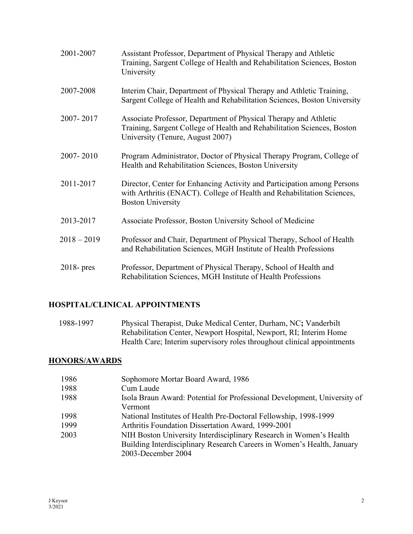| 2001-2007     | Assistant Professor, Department of Physical Therapy and Athletic<br>Training, Sargent College of Health and Rehabilitation Sciences, Boston<br>University                       |
|---------------|---------------------------------------------------------------------------------------------------------------------------------------------------------------------------------|
| 2007-2008     | Interim Chair, Department of Physical Therapy and Athletic Training,<br>Sargent College of Health and Rehabilitation Sciences, Boston University                                |
| 2007-2017     | Associate Professor, Department of Physical Therapy and Athletic<br>Training, Sargent College of Health and Rehabilitation Sciences, Boston<br>University (Tenure, August 2007) |
| 2007-2010     | Program Administrator, Doctor of Physical Therapy Program, College of<br>Health and Rehabilitation Sciences, Boston University                                                  |
| 2011-2017     | Director, Center for Enhancing Activity and Participation among Persons<br>with Arthritis (ENACT). College of Health and Rehabilitation Sciences,<br><b>Boston University</b>   |
| 2013-2017     | Associate Professor, Boston University School of Medicine                                                                                                                       |
| $2018 - 2019$ | Professor and Chair, Department of Physical Therapy, School of Health<br>and Rehabilitation Sciences, MGH Institute of Health Professions                                       |
| $2018 - pres$ | Professor, Department of Physical Therapy, School of Health and<br>Rehabilitation Sciences, MGH Institute of Health Professions                                                 |

# **HOSPITAL/CLINICAL APPOINTMENTS**

1988-1997 Physical Therapist, Duke Medical Center, Durham, NC**;** Vanderbilt Rehabilitation Center, Newport Hospital, Newport, RI; Interim Home Health Care; Interim supervisory roles throughout clinical appointments

# **HONORS/AWARDS**

| 1986 | Sophomore Mortar Board Award, 1986                                       |
|------|--------------------------------------------------------------------------|
| 1988 | Cum Laude                                                                |
| 1988 | Isola Braun Award: Potential for Professional Development, University of |
|      | Vermont                                                                  |
| 1998 | National Institutes of Health Pre-Doctoral Fellowship, 1998-1999         |
| 1999 | Arthritis Foundation Dissertation Award, 1999-2001                       |
| 2003 | NIH Boston University Interdisciplinary Research in Women's Health       |
|      | Building Interdisciplinary Research Careers in Women's Health, January   |
|      | 2003-December 2004                                                       |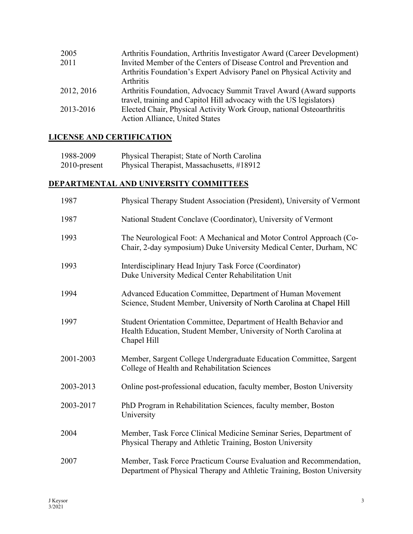| 2005       | Arthritis Foundation, Arthritis Investigator Award (Career Development) |
|------------|-------------------------------------------------------------------------|
| 2011       | Invited Member of the Centers of Disease Control and Prevention and     |
|            | Arthritis Foundation's Expert Advisory Panel on Physical Activity and   |
|            | <b>Arthritis</b>                                                        |
| 2012, 2016 | Arthritis Foundation, Advocacy Summit Travel Award (Award supports      |
|            | travel, training and Capitol Hill advocacy with the US legislators)     |
| 2013-2016  | Elected Chair, Physical Activity Work Group, national Osteoarthritis    |
|            | <b>Action Alliance, United States</b>                                   |

# **LICENSE AND CERTIFICATION**

| 1988-2009    | Physical Therapist; State of North Carolina |
|--------------|---------------------------------------------|
| 2010-present | Physical Therapist, Massachusetts, #18912   |

# **DEPARTMENTAL AND UNIVERSITY COMMITTEES**

| 1987      | Physical Therapy Student Association (President), University of Vermont                                                                              |
|-----------|------------------------------------------------------------------------------------------------------------------------------------------------------|
| 1987      | National Student Conclave (Coordinator), University of Vermont                                                                                       |
| 1993      | The Neurological Foot: A Mechanical and Motor Control Approach (Co-<br>Chair, 2-day symposium) Duke University Medical Center, Durham, NC            |
| 1993      | Interdisciplinary Head Injury Task Force (Coordinator)<br>Duke University Medical Center Rehabilitation Unit                                         |
| 1994      | Advanced Education Committee, Department of Human Movement<br>Science, Student Member, University of North Carolina at Chapel Hill                   |
| 1997      | Student Orientation Committee, Department of Health Behavior and<br>Health Education, Student Member, University of North Carolina at<br>Chapel Hill |
| 2001-2003 | Member, Sargent College Undergraduate Education Committee, Sargent<br>College of Health and Rehabilitation Sciences                                  |
| 2003-2013 | Online post-professional education, faculty member, Boston University                                                                                |
| 2003-2017 | PhD Program in Rehabilitation Sciences, faculty member, Boston<br>University                                                                         |
| 2004      | Member, Task Force Clinical Medicine Seminar Series, Department of<br>Physical Therapy and Athletic Training, Boston University                      |
| 2007      | Member, Task Force Practicum Course Evaluation and Recommendation,<br>Department of Physical Therapy and Athletic Training, Boston University        |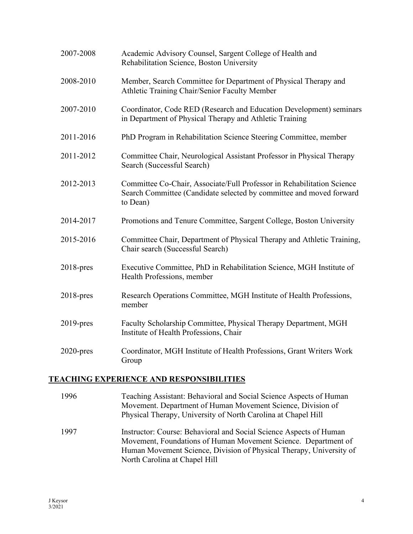| 2007-2008    | Academic Advisory Counsel, Sargent College of Health and<br>Rehabilitation Science, Boston University                                                     |
|--------------|-----------------------------------------------------------------------------------------------------------------------------------------------------------|
| 2008-2010    | Member, Search Committee for Department of Physical Therapy and<br>Athletic Training Chair/Senior Faculty Member                                          |
| 2007-2010    | Coordinator, Code RED (Research and Education Development) seminars<br>in Department of Physical Therapy and Athletic Training                            |
| 2011-2016    | PhD Program in Rehabilitation Science Steering Committee, member                                                                                          |
| 2011-2012    | Committee Chair, Neurological Assistant Professor in Physical Therapy<br>Search (Successful Search)                                                       |
| 2012-2013    | Committee Co-Chair, Associate/Full Professor in Rehabilitation Science<br>Search Committee (Candidate selected by committee and moved forward<br>to Dean) |
| 2014-2017    | Promotions and Tenure Committee, Sargent College, Boston University                                                                                       |
| 2015-2016    | Committee Chair, Department of Physical Therapy and Athletic Training,<br>Chair search (Successful Search)                                                |
| $2018$ -pres | Executive Committee, PhD in Rehabilitation Science, MGH Institute of<br>Health Professions, member                                                        |
| $2018$ -pres | Research Operations Committee, MGH Institute of Health Professions,<br>member                                                                             |
| $2019$ -pres | Faculty Scholarship Committee, Physical Therapy Department, MGH<br>Institute of Health Professions, Chair                                                 |
| $2020$ -pres | Coordinator, MGH Institute of Health Professions, Grant Writers Work<br>Group                                                                             |

# **TEACHING EXPERIENCE AND RESPONSIBILITIES**

| 1996 | Teaching Assistant: Behavioral and Social Science Aspects of Human<br>Movement. Department of Human Movement Science, Division of<br>Physical Therapy, University of North Carolina at Chapel Hill                                           |
|------|----------------------------------------------------------------------------------------------------------------------------------------------------------------------------------------------------------------------------------------------|
| 1997 | Instructor: Course: Behavioral and Social Science Aspects of Human<br>Movement, Foundations of Human Movement Science. Department of<br>Human Movement Science, Division of Physical Therapy, University of<br>North Carolina at Chapel Hill |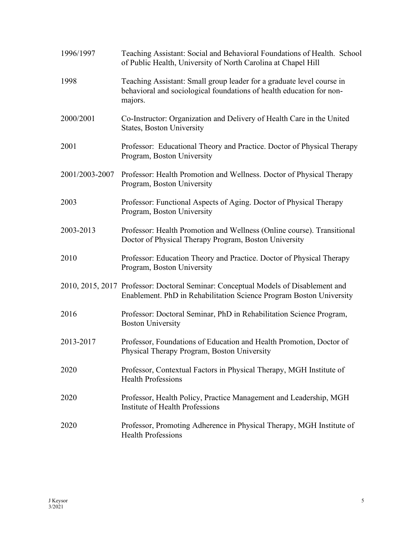| 1996/1997      | Teaching Assistant: Social and Behavioral Foundations of Health. School<br>of Public Health, University of North Carolina at Chapel Hill                  |
|----------------|-----------------------------------------------------------------------------------------------------------------------------------------------------------|
| 1998           | Teaching Assistant: Small group leader for a graduate level course in<br>behavioral and sociological foundations of health education for non-<br>majors.  |
| 2000/2001      | Co-Instructor: Organization and Delivery of Health Care in the United<br><b>States, Boston University</b>                                                 |
| 2001           | Professor: Educational Theory and Practice. Doctor of Physical Therapy<br>Program, Boston University                                                      |
| 2001/2003-2007 | Professor: Health Promotion and Wellness. Doctor of Physical Therapy<br>Program, Boston University                                                        |
| 2003           | Professor: Functional Aspects of Aging. Doctor of Physical Therapy<br>Program, Boston University                                                          |
| 2003-2013      | Professor: Health Promotion and Wellness (Online course). Transitional<br>Doctor of Physical Therapy Program, Boston University                           |
| 2010           | Professor: Education Theory and Practice. Doctor of Physical Therapy<br>Program, Boston University                                                        |
|                | 2010, 2015, 2017 Professor: Doctoral Seminar: Conceptual Models of Disablement and<br>Enablement. PhD in Rehabilitation Science Program Boston University |
| 2016           | Professor: Doctoral Seminar, PhD in Rehabilitation Science Program,<br><b>Boston University</b>                                                           |
| 2013-2017      | Professor, Foundations of Education and Health Promotion, Doctor of<br>Physical Therapy Program, Boston University                                        |
| 2020           | Professor, Contextual Factors in Physical Therapy, MGH Institute of<br><b>Health Professions</b>                                                          |
| 2020           | Professor, Health Policy, Practice Management and Leadership, MGH<br>Institute of Health Professions                                                      |
| 2020           | Professor, Promoting Adherence in Physical Therapy, MGH Institute of<br><b>Health Professions</b>                                                         |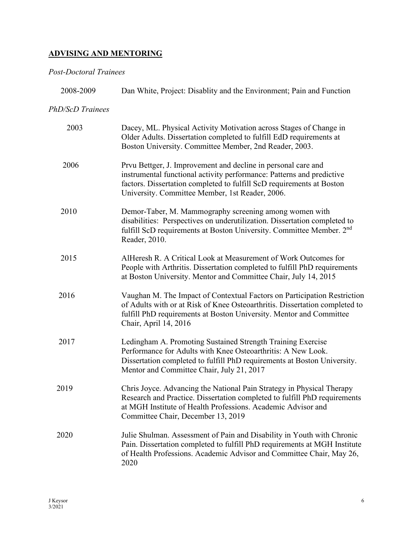# **ADVISING AND MENTORING**

# *Post-Doctoral Trainees*

| 2008-2009        | Dan White, Project: Disablity and the Environment; Pain and Function                                                                                                                                                                                               |
|------------------|--------------------------------------------------------------------------------------------------------------------------------------------------------------------------------------------------------------------------------------------------------------------|
| PhD/ScD Trainees |                                                                                                                                                                                                                                                                    |
| 2003             | Dacey, ML. Physical Activity Motivation across Stages of Change in<br>Older Adults. Dissertation completed to fulfill EdD requirements at<br>Boston University. Committee Member, 2nd Reader, 2003.                                                                |
| 2006             | Prvu Bettger, J. Improvement and decline in personal care and<br>instrumental functional activity performance: Patterns and predictive<br>factors. Dissertation completed to fulfill ScD requirements at Boston<br>University. Committee Member, 1st Reader, 2006. |
| 2010             | Demor-Taber, M. Mammography screening among women with<br>disabilities: Perspectives on underutilization. Dissertation completed to<br>fulfill ScD requirements at Boston University. Committee Member. 2 <sup>nd</sup><br>Reader, 2010.                           |
| 2015             | AlHeresh R. A Critical Look at Measurement of Work Outcomes for<br>People with Arthritis. Dissertation completed to fulfill PhD requirements<br>at Boston University. Mentor and Committee Chair, July 14, 2015                                                    |
| 2016             | Vaughan M. The Impact of Contextual Factors on Participation Restriction<br>of Adults with or at Risk of Knee Osteoarthritis. Dissertation completed to<br>fulfill PhD requirements at Boston University. Mentor and Committee<br>Chair, April 14, 2016            |
| 2017             | Ledingham A. Promoting Sustained Strength Training Exercise<br>Performance for Adults with Knee Osteoarthritis: A New Look.<br>Dissertation completed to fulfill PhD requirements at Boston University.<br>Mentor and Committee Chair, July 21, 2017               |
| 2019             | Chris Joyce. Advancing the National Pain Strategy in Physical Therapy<br>Research and Practice. Dissertation completed to fulfill PhD requirements<br>at MGH Institute of Health Professions. Academic Advisor and<br>Committee Chair, December 13, 2019           |
| 2020             | Julie Shulman. Assessment of Pain and Disability in Youth with Chronic<br>Pain. Dissertation completed to fulfill PhD requirements at MGH Institute<br>of Health Professions. Academic Advisor and Committee Chair, May 26,<br>2020                                |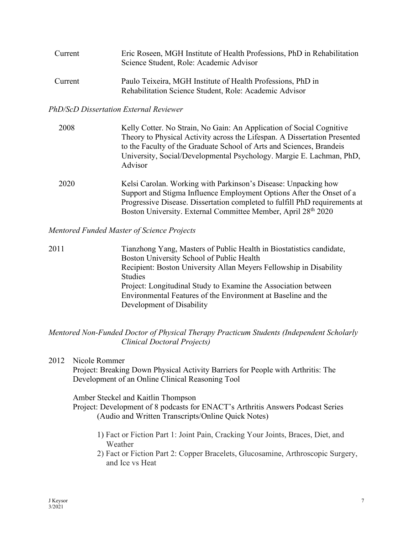| Current | Eric Roseen, MGH Institute of Health Professions, PhD in Rehabilitation<br>Science Student, Role: Academic Advisor    |
|---------|-----------------------------------------------------------------------------------------------------------------------|
| Current | Paulo Teixeira, MGH Institute of Health Professions, PhD in<br>Rehabilitation Science Student, Role: Academic Advisor |

#### *PhD/ScD Dissertation External Reviewer*

| 2008 | Kelly Cotter. No Strain, No Gain: An Application of Social Cognitive<br>Theory to Physical Activity across the Lifespan. A Dissertation Presented<br>to the Faculty of the Graduate School of Arts and Sciences, Brandeis<br>University, Social/Developmental Psychology. Margie E. Lachman, PhD,<br>Advisor |
|------|--------------------------------------------------------------------------------------------------------------------------------------------------------------------------------------------------------------------------------------------------------------------------------------------------------------|
| 2020 | Kelsi Carolan. Working with Parkinson's Disease: Unpacking how<br>Support and Stigma Influence Employment Options After the Onset of a<br>Progressive Disease. Dissertation completed to fulfill PhD requirements at<br>Boston University. External Committee Member, April 28 <sup>th</sup> 2020            |

#### *Mentored Funded Master of Science Projects*

| 2011 | Tianzhong Yang, Masters of Public Health in Biostatistics candidate, |
|------|----------------------------------------------------------------------|
|      | Boston University School of Public Health                            |
|      | Recipient: Boston University Allan Meyers Fellowship in Disability   |
|      | <b>Studies</b>                                                       |
|      | Project: Longitudinal Study to Examine the Association between       |
|      | Environmental Features of the Environment at Baseline and the        |
|      | Development of Disability                                            |

### *Mentored Non-Funded Doctor of Physical Therapy Practicum Students (Independent Scholarly Clinical Doctoral Projects)*

2012 Nicole Rommer

Project: Breaking Down Physical Activity Barriers for People with Arthritis: The Development of an Online Clinical Reasoning Tool

#### Amber Steckel and Kaitlin Thompson

Project: Development of 8 podcasts for ENACT's Arthritis Answers Podcast Series (Audio and Written Transcripts/Online Quick Notes)

- 1) Fact or Fiction Part 1: Joint Pain, Cracking Your Joints, Braces, Diet, and Weather
- 2) Fact or Fiction Part 2: Copper Bracelets, Glucosamine, Arthroscopic Surgery, and Ice vs Heat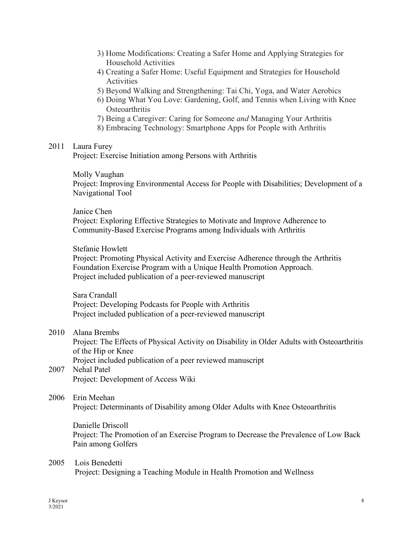- 3) Home Modifications: Creating a Safer Home and Applying Strategies for Household Activities
- 4) Creating a Safer Home: Useful Equipment and Strategies for Household Activities
- 5) Beyond Walking and Strengthening: Tai Chi, Yoga, and Water Aerobics
- 6) Doing What You Love: Gardening, Golf, and Tennis when Living with Knee **Osteoarthritis**
- 7) Being a Caregiver: Caring for Someone *and* Managing Your Arthritis
- 8) Embracing Technology: Smartphone Apps for People with Arthritis

#### 2011 Laura Furey

Project: Exercise Initiation among Persons with Arthritis

Molly Vaughan

Project: Improving Environmental Access for People with Disabilities; Development of a Navigational Tool

#### Janice Chen

Project: Exploring Effective Strategies to Motivate and Improve Adherence to Community-Based Exercise Programs among Individuals with Arthritis

#### Stefanie Howlett

Project: Promoting Physical Activity and Exercise Adherence through the Arthritis Foundation Exercise Program with a Unique Health Promotion Approach. Project included publication of a peer-reviewed manuscript

Sara Crandall Project: Developing Podcasts for People with Arthritis Project included publication of a peer-reviewed manuscript

#### 2010 Alana Brembs

Project: The Effects of Physical Activity on Disability in Older Adults with Osteoarthritis of the Hip or Knee

Project included publication of a peer reviewed manuscript

2007 Nehal Patel Project: Development of Access Wiki

#### 2006 Erin Meehan

Project: Determinants of Disability among Older Adults with Knee Osteoarthritis

Danielle Driscoll

Project: The Promotion of an Exercise Program to Decrease the Prevalence of Low Back Pain among Golfers

#### 2005 Lois Benedetti

Project: Designing a Teaching Module in Health Promotion and Wellness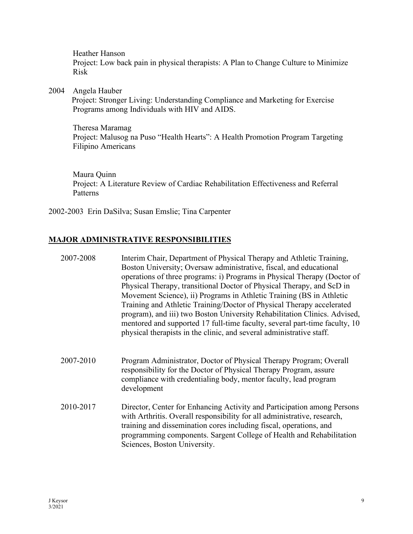Heather Hanson Project: Low back pain in physical therapists: A Plan to Change Culture to Minimize Risk

2004 Angela Hauber

 Project: Stronger Living: Understanding Compliance and Marketing for Exercise Programs among Individuals with HIV and AIDS.

 Theresa Maramag Project: Malusog na Puso "Health Hearts": A Health Promotion Program Targeting Filipino Americans

Maura Quinn Project: A Literature Review of Cardiac Rehabilitation Effectiveness and Referral Patterns

2002-2003 Erin DaSilva; Susan Emslie; Tina Carpenter

### **MAJOR ADMINISTRATIVE RESPONSIBILITIES**

| 2007-2008 | Interim Chair, Department of Physical Therapy and Athletic Training,<br>Boston University; Oversaw administrative, fiscal, and educational<br>operations of three programs: i) Programs in Physical Therapy (Doctor of<br>Physical Therapy, transitional Doctor of Physical Therapy, and ScD in<br>Movement Science), ii) Programs in Athletic Training (BS in Athletic<br>Training and Athletic Training/Doctor of Physical Therapy accelerated<br>program), and iii) two Boston University Rehabilitation Clinics. Advised,<br>mentored and supported 17 full-time faculty, several part-time faculty, 10<br>physical therapists in the clinic, and several administrative staff. |
|-----------|-------------------------------------------------------------------------------------------------------------------------------------------------------------------------------------------------------------------------------------------------------------------------------------------------------------------------------------------------------------------------------------------------------------------------------------------------------------------------------------------------------------------------------------------------------------------------------------------------------------------------------------------------------------------------------------|
| 2007-2010 | Program Administrator, Doctor of Physical Therapy Program; Overall<br>responsibility for the Doctor of Physical Therapy Program, assure<br>compliance with credentialing body, mentor faculty, lead program<br>development                                                                                                                                                                                                                                                                                                                                                                                                                                                          |
| 2010-2017 | Director, Center for Enhancing Activity and Participation among Persons<br>with Arthritis. Overall responsibility for all administrative, research,<br>training and dissemination cores including fiscal, operations, and<br>programming components. Sargent College of Health and Rehabilitation<br>Sciences, Boston University.                                                                                                                                                                                                                                                                                                                                                   |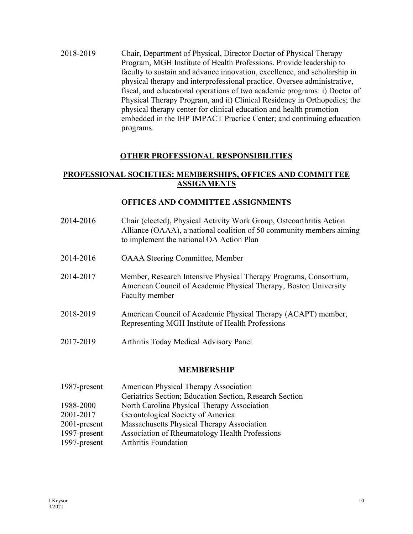2018-2019 Chair, Department of Physical, Director Doctor of Physical Therapy Program, MGH Institute of Health Professions. Provide leadership to faculty to sustain and advance innovation, excellence, and scholarship in physical therapy and interprofessional practice. Oversee administrative, fiscal, and educational operations of two academic programs: i) Doctor of Physical Therapy Program, and ii) Clinical Residency in Orthopedics; the physical therapy center for clinical education and health promotion embedded in the IHP IMPACT Practice Center; and continuing education programs.

#### **OTHER PROFESSIONAL RESPONSIBILITIES**

### **PROFESSIONAL SOCIETIES: MEMBERSHIPS, OFFICES AND COMMITTEE ASSIGNMENTS**

#### **OFFICES AND COMMITTEE ASSIGNMENTS**

| 2014-2016 | Chair (elected), Physical Activity Work Group, Osteoarthritis Action<br>Alliance (OAAA), a national coalition of 50 community members aiming<br>to implement the national OA Action Plan |
|-----------|------------------------------------------------------------------------------------------------------------------------------------------------------------------------------------------|
| 2014-2016 | <b>OAAA</b> Steering Committee, Member                                                                                                                                                   |
| 2014-2017 | Member, Research Intensive Physical Therapy Programs, Consortium,<br>American Council of Academic Physical Therapy, Boston University<br>Faculty member                                  |
| 2018-2019 | American Council of Academic Physical Therapy (ACAPT) member,<br>Representing MGH Institute of Health Professions                                                                        |
| 2017-2019 | Arthritis Today Medical Advisory Panel                                                                                                                                                   |

#### **MEMBERSHIP**

| 1987-present | <b>American Physical Therapy Association</b>            |
|--------------|---------------------------------------------------------|
|              | Geriatrics Section; Education Section, Research Section |
| 1988-2000    | North Carolina Physical Therapy Association             |
| 2001-2017    | Gerontological Society of America                       |
| 2001-present | Massachusetts Physical Therapy Association              |
| 1997-present | Association of Rheumatology Health Professions          |
| 1997-present | <b>Arthritis Foundation</b>                             |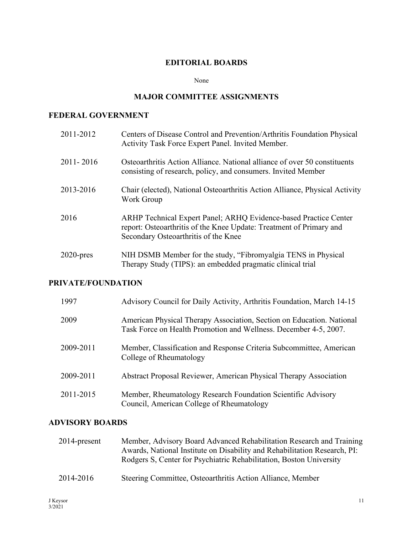### **EDITORIAL BOARDS**

None

# **MAJOR COMMITTEE ASSIGNMENTS**

### **FEDERAL GOVERNMENT**

| 2011-2012     | Centers of Disease Control and Prevention/Arthritis Foundation Physical<br>Activity Task Force Expert Panel. Invited Member.                                                    |
|---------------|---------------------------------------------------------------------------------------------------------------------------------------------------------------------------------|
| $2011 - 2016$ | Osteoarthritis Action Alliance. National alliance of over 50 constituents<br>consisting of research, policy, and consumers. Invited Member                                      |
| 2013-2016     | Chair (elected), National Osteoarthritis Action Alliance, Physical Activity<br>Work Group                                                                                       |
| 2016          | ARHP Technical Expert Panel; ARHQ Evidence-based Practice Center<br>report: Osteoarthritis of the Knee Update: Treatment of Primary and<br>Secondary Osteoarthritis of the Knee |
| $2020$ -pres  | NIH DSMB Member for the study, "Fibromyalgia TENS in Physical<br>Therapy Study (TIPS): an embedded pragmatic clinical trial                                                     |

# **PRIVATE/FOUNDATION**

| 1997      | Advisory Council for Daily Activity, Arthritis Foundation, March 14-15                                                                    |
|-----------|-------------------------------------------------------------------------------------------------------------------------------------------|
| 2009      | American Physical Therapy Association, Section on Education. National<br>Task Force on Health Promotion and Wellness. December 4-5, 2007. |
| 2009-2011 | Member, Classification and Response Criteria Subcommittee, American<br>College of Rheumatology                                            |
| 2009-2011 | Abstract Proposal Reviewer, American Physical Therapy Association                                                                         |
| 2011-2015 | Member, Rheumatology Research Foundation Scientific Advisory<br>Council, American College of Rheumatology                                 |

### **ADVISORY BOARDS**

| $2014$ -present | Member, Advisory Board Advanced Rehabilitation Research and Training<br>Awards, National Institute on Disability and Rehabilitation Research, PI:<br>Rodgers S, Center for Psychiatric Rehabilitation, Boston University |
|-----------------|--------------------------------------------------------------------------------------------------------------------------------------------------------------------------------------------------------------------------|
| 2014-2016       | Steering Committee, Osteoarthritis Action Alliance, Member                                                                                                                                                               |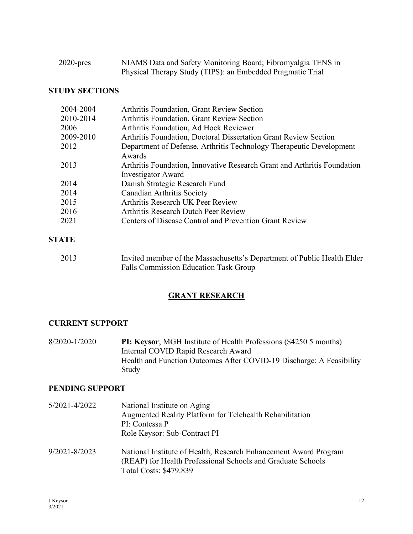| $2020$ -pres | NIAMS Data and Safety Monitoring Board; Fibromyalgia TENS in |
|--------------|--------------------------------------------------------------|
|              | Physical Therapy Study (TIPS): an Embedded Pragmatic Trial   |

# **STUDY SECTIONS**

| 2004-2004 | Arthritis Foundation, Grant Review Section                               |
|-----------|--------------------------------------------------------------------------|
| 2010-2014 | Arthritis Foundation, Grant Review Section                               |
| 2006      | Arthritis Foundation, Ad Hock Reviewer                                   |
| 2009-2010 | Arthritis Foundation, Doctoral Dissertation Grant Review Section         |
| 2012      | Department of Defense, Arthritis Technology Therapeutic Development      |
|           | Awards                                                                   |
| 2013      | Arthritis Foundation, Innovative Research Grant and Arthritis Foundation |
|           | <b>Investigator Award</b>                                                |
| 2014      | Danish Strategic Research Fund                                           |
| 2014      | Canadian Arthritis Society                                               |
| 2015      | Arthritis Research UK Peer Review                                        |
| 2016      | Arthritis Research Dutch Peer Review                                     |
| 2021      | Centers of Disease Control and Prevention Grant Review                   |
|           |                                                                          |
| OT LID    |                                                                          |

# **STATE**

| 2013 | Invited member of the Massachusetts's Department of Public Health Elder |
|------|-------------------------------------------------------------------------|
|      | Falls Commission Education Task Group                                   |

### **GRANT RESEARCH**

### **CURRENT SUPPORT**

8/2020-1/2020 **PI: Keysor**; MGH Institute of Health Professions (\$4250 5 months) Internal COVID Rapid Research Award Health and Function Outcomes After COVID-19 Discharge: A Feasibility Study

### **PENDING SUPPORT**

5/2021-4/2022 National Institute on Aging Augmented Reality Platform for Telehealth Rehabilitation PI: Contessa P Role Keysor: Sub-Contract PI 9/2021-8/2023 National Institute of Health, Research Enhancement Award Program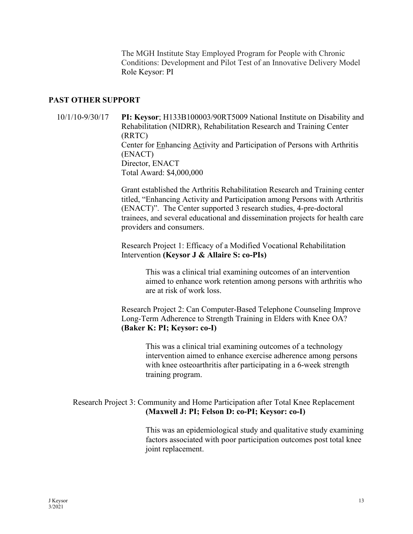The MGH Institute Stay Employed Program for People with Chronic Conditions: Development and Pilot Test of an Innovative Delivery Model Role Keysor: PI

#### **PAST OTHER SUPPORT**

 10/1/10-9/30/17 **PI: Keysor**; H133B100003/90RT5009 National Institute on Disability and Rehabilitation (NIDRR), Rehabilitation Research and Training Center (RRTC) Center for Enhancing Activity and Participation of Persons with Arthritis (ENACT) Director, ENACT Total Award: \$4,000,000

> Grant established the Arthritis Rehabilitation Research and Training center titled, "Enhancing Activity and Participation among Persons with Arthritis (ENACT)". The Center supported 3 research studies, 4-pre-doctoral trainees, and several educational and dissemination projects for health care providers and consumers.

Research Project 1: Efficacy of a Modified Vocational Rehabilitation Intervention **(Keysor J & Allaire S: co-PIs)**

> This was a clinical trial examining outcomes of an intervention aimed to enhance work retention among persons with arthritis who are at risk of work loss.

Research Project 2: Can Computer-Based Telephone Counseling Improve Long-Term Adherence to Strength Training in Elders with Knee OA? **(Baker K: PI; Keysor: co-I)**

> This was a clinical trial examining outcomes of a technology intervention aimed to enhance exercise adherence among persons with knee osteoarthritis after participating in a 6-week strength training program.

### Research Project 3: Community and Home Participation after Total Knee Replacement **(Maxwell J: PI; Felson D: co-PI; Keysor: co-I)**

This was an epidemiological study and qualitative study examining factors associated with poor participation outcomes post total knee joint replacement.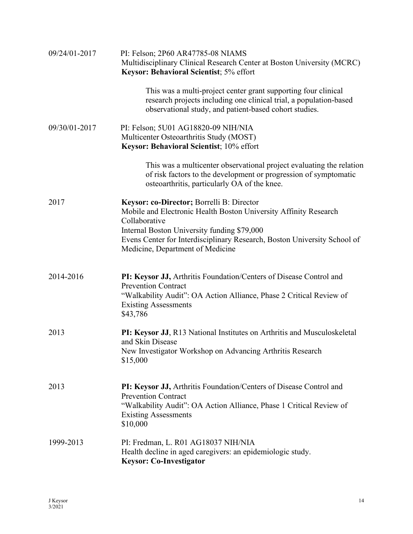| 09/24/01-2017 | PI: Felson; 2P60 AR47785-08 NIAMS<br>Multidisciplinary Clinical Research Center at Boston University (MCRC)<br>Keysor: Behavioral Scientist; 5% effort                                                                                                                                        |
|---------------|-----------------------------------------------------------------------------------------------------------------------------------------------------------------------------------------------------------------------------------------------------------------------------------------------|
|               | This was a multi-project center grant supporting four clinical<br>research projects including one clinical trial, a population-based<br>observational study, and patient-based cohort studies.                                                                                                |
| 09/30/01-2017 | PI: Felson; 5U01 AG18820-09 NIH/NIA<br>Multicenter Osteoarthritis Study (MOST)<br>Keysor: Behavioral Scientist; 10% effort                                                                                                                                                                    |
|               | This was a multicenter observational project evaluating the relation<br>of risk factors to the development or progression of symptomatic<br>osteoarthritis, particularly OA of the knee.                                                                                                      |
| 2017          | Keysor: co-Director; Borrelli B: Director<br>Mobile and Electronic Health Boston University Affinity Research<br>Collaborative<br>Internal Boston University funding \$79,000<br>Evens Center for Interdisciplinary Research, Boston University School of<br>Medicine, Department of Medicine |
| 2014-2016     | PI: Keysor JJ, Arthritis Foundation/Centers of Disease Control and<br><b>Prevention Contract</b><br>"Walkability Audit": OA Action Alliance, Phase 2 Critical Review of<br><b>Existing Assessments</b><br>\$43,786                                                                            |
| 2013          | PI: Keysor JJ, R13 National Institutes on Arthritis and Musculoskeletal<br>and Skin Disease<br>New Investigator Workshop on Advancing Arthritis Research<br>\$15,000                                                                                                                          |
| 2013          | PI: Keysor JJ, Arthritis Foundation/Centers of Disease Control and<br><b>Prevention Contract</b><br>"Walkability Audit": OA Action Alliance, Phase 1 Critical Review of<br><b>Existing Assessments</b><br>\$10,000                                                                            |
| 1999-2013     | PI: Fredman, L. R01 AG18037 NIH/NIA<br>Health decline in aged caregivers: an epidemiologic study.<br><b>Keysor: Co-Investigator</b>                                                                                                                                                           |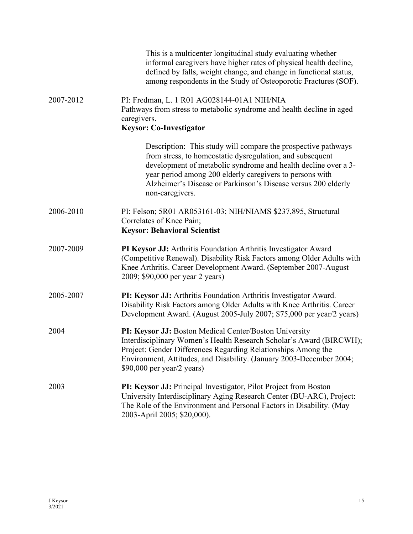|           | This is a multicenter longitudinal study evaluating whether<br>informal caregivers have higher rates of physical health decline,<br>defined by falls, weight change, and change in functional status,<br>among respondents in the Study of Osteoporotic Fractures (SOF).                                                                     |
|-----------|----------------------------------------------------------------------------------------------------------------------------------------------------------------------------------------------------------------------------------------------------------------------------------------------------------------------------------------------|
| 2007-2012 | PI: Fredman, L. 1 R01 AG028144-01A1 NIH/NIA<br>Pathways from stress to metabolic syndrome and health decline in aged<br>caregivers.<br><b>Keysor: Co-Investigator</b>                                                                                                                                                                        |
|           | Description: This study will compare the prospective pathways<br>from stress, to homeostatic dysregulation, and subsequent<br>development of metabolic syndrome and health decline over a 3-<br>year period among 200 elderly caregivers to persons with<br>Alzheimer's Disease or Parkinson's Disease versus 200 elderly<br>non-caregivers. |
| 2006-2010 | PI: Felson; 5R01 AR053161-03; NIH/NIAMS \$237,895, Structural<br>Correlates of Knee Pain;<br><b>Keysor: Behavioral Scientist</b>                                                                                                                                                                                                             |
| 2007-2009 | PI Keysor JJ: Arthritis Foundation Arthritis Investigator Award<br>(Competitive Renewal). Disability Risk Factors among Older Adults with<br>Knee Arthritis. Career Development Award. (September 2007-August<br>2009; \$90,000 per year 2 years)                                                                                            |
| 2005-2007 | PI: Keysor JJ: Arthritis Foundation Arthritis Investigator Award.<br>Disability Risk Factors among Older Adults with Knee Arthritis. Career<br>Development Award. (August 2005-July 2007; \$75,000 per year/2 years)                                                                                                                         |
| 2004      | PI: Keysor JJ: Boston Medical Center/Boston University<br>Interdisciplinary Women's Health Research Scholar's Award (BIRCWH);<br>Project: Gender Differences Regarding Relationships Among the<br>Environment, Attitudes, and Disability. (January 2003-December 2004;<br>$$90,000$ per year/2 years)                                        |
| 2003      | PI: Keysor JJ: Principal Investigator, Pilot Project from Boston<br>University Interdisciplinary Aging Research Center (BU-ARC), Project:<br>The Role of the Environment and Personal Factors in Disability. (May<br>2003-April 2005; \$20,000).                                                                                             |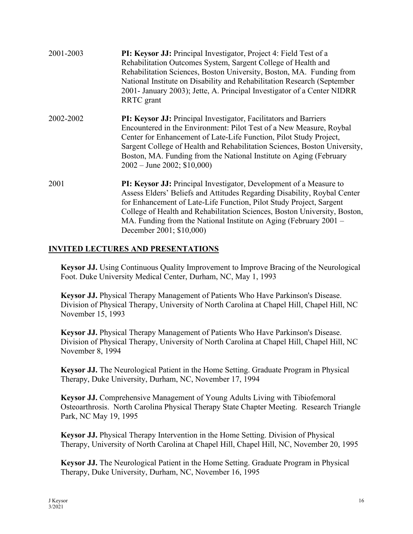| 2001-2003 | PI: Keysor JJ: Principal Investigator, Project 4: Field Test of a<br>Rehabilitation Outcomes System, Sargent College of Health and<br>Rehabilitation Sciences, Boston University, Boston, MA. Funding from<br>National Institute on Disability and Rehabilitation Research (September<br>2001- January 2003); Jette, A. Principal Investigator of a Center NIDRR<br>RRTC grant                             |
|-----------|------------------------------------------------------------------------------------------------------------------------------------------------------------------------------------------------------------------------------------------------------------------------------------------------------------------------------------------------------------------------------------------------------------|
| 2002-2002 | PI: Keysor JJ: Principal Investigator, Facilitators and Barriers<br>Encountered in the Environment: Pilot Test of a New Measure, Roybal<br>Center for Enhancement of Late-Life Function, Pilot Study Project,<br>Sargent College of Health and Rehabilitation Sciences, Boston University,<br>Boston, MA. Funding from the National Institute on Aging (February<br>$2002 - \text{June } 2002$ ; \$10,000) |
| 2001      | PI: Keysor JJ: Principal Investigator, Development of a Measure to<br>Assess Elders' Beliefs and Attitudes Regarding Disability, Roybal Center<br>for Enhancement of Late-Life Function, Pilot Study Project, Sargent<br>College of Health and Rehabilitation Sciences, Boston University, Boston,<br>MA. Funding from the National Institute on Aging (February $2001 -$<br>December 2001; \$10,000)      |

### **INVITED LECTURES AND PRESENTATIONS**

**Keysor JJ.** Using Continuous Quality Improvement to Improve Bracing of the Neurological Foot. Duke University Medical Center, Durham, NC, May 1, 1993

**Keysor JJ.** Physical Therapy Management of Patients Who Have Parkinson's Disease. Division of Physical Therapy, University of North Carolina at Chapel Hill, Chapel Hill, NC November 15, 1993

**Keysor JJ.** Physical Therapy Management of Patients Who Have Parkinson's Disease. Division of Physical Therapy, University of North Carolina at Chapel Hill, Chapel Hill, NC November 8, 1994

**Keysor JJ.** The Neurological Patient in the Home Setting. Graduate Program in Physical Therapy, Duke University, Durham, NC, November 17, 1994

**Keysor JJ.** Comprehensive Management of Young Adults Living with Tibiofemoral Osteoarthrosis. North Carolina Physical Therapy State Chapter Meeting. Research Triangle Park, NC May 19, 1995

**Keysor JJ.** Physical Therapy Intervention in the Home Setting. Division of Physical Therapy, University of North Carolina at Chapel Hill, Chapel Hill, NC, November 20, 1995

**Keysor JJ.** The Neurological Patient in the Home Setting. Graduate Program in Physical Therapy, Duke University, Durham, NC, November 16, 1995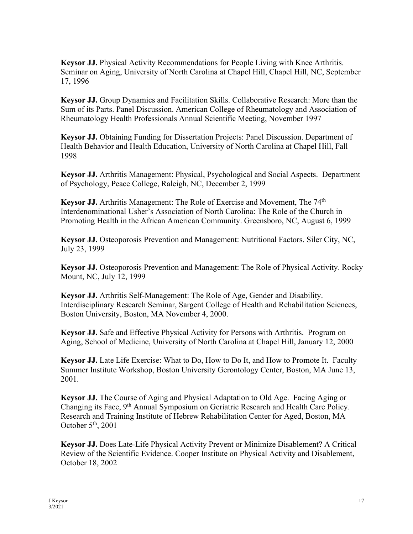**Keysor JJ.** Physical Activity Recommendations for People Living with Knee Arthritis. Seminar on Aging, University of North Carolina at Chapel Hill, Chapel Hill, NC, September 17, 1996

**Keysor JJ.** Group Dynamics and Facilitation Skills. Collaborative Research: More than the Sum of its Parts. Panel Discussion. American College of Rheumatology and Association of Rheumatology Health Professionals Annual Scientific Meeting, November 1997

**Keysor JJ.** Obtaining Funding for Dissertation Projects: Panel Discussion. Department of Health Behavior and Health Education, University of North Carolina at Chapel Hill, Fall 1998

**Keysor JJ.** Arthritis Management: Physical, Psychological and Social Aspects. Department of Psychology, Peace College, Raleigh, NC, December 2, 1999

**Keysor JJ.** Arthritis Management: The Role of Exercise and Movement, The 74<sup>th</sup> Interdenominational Usher's Association of North Carolina: The Role of the Church in Promoting Health in the African American Community. Greensboro, NC, August 6, 1999

**Keysor JJ.** Osteoporosis Prevention and Management: Nutritional Factors. Siler City, NC, July 23, 1999

**Keysor JJ.** Osteoporosis Prevention and Management: The Role of Physical Activity. Rocky Mount, NC, July 12, 1999

**Keysor JJ.** Arthritis Self-Management: The Role of Age, Gender and Disability. Interdisciplinary Research Seminar, Sargent College of Health and Rehabilitation Sciences, Boston University, Boston, MA November 4, 2000.

**Keysor JJ.** Safe and Effective Physical Activity for Persons with Arthritis. Program on Aging, School of Medicine, University of North Carolina at Chapel Hill, January 12, 2000

**Keysor JJ.** Late Life Exercise: What to Do, How to Do It, and How to Promote It. Faculty Summer Institute Workshop, Boston University Gerontology Center, Boston, MA June 13, 2001.

**Keysor JJ.** The Course of Aging and Physical Adaptation to Old Age. Facing Aging or Changing its Face, 9<sup>th</sup> Annual Symposium on Geriatric Research and Health Care Policy. Research and Training Institute of Hebrew Rehabilitation Center for Aged, Boston, MA October 5<sup>th</sup>, 2001

**Keysor JJ.** Does Late-Life Physical Activity Prevent or Minimize Disablement? A Critical Review of the Scientific Evidence. Cooper Institute on Physical Activity and Disablement, October 18, 2002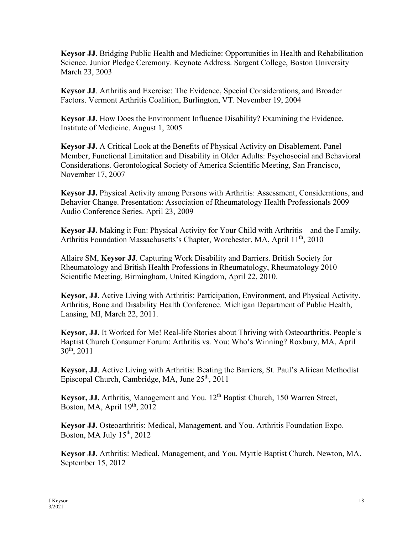**Keysor JJ**. Bridging Public Health and Medicine: Opportunities in Health and Rehabilitation Science. Junior Pledge Ceremony. Keynote Address. Sargent College, Boston University March 23, 2003

**Keysor JJ**. Arthritis and Exercise: The Evidence, Special Considerations, and Broader Factors. Vermont Arthritis Coalition, Burlington, VT. November 19, 2004

**Keysor JJ.** How Does the Environment Influence Disability? Examining the Evidence. Institute of Medicine. August 1, 2005

**Keysor JJ.** A Critical Look at the Benefits of Physical Activity on Disablement. Panel Member, Functional Limitation and Disability in Older Adults: Psychosocial and Behavioral Considerations. Gerontological Society of America Scientific Meeting, San Francisco, November 17, 2007

**Keysor JJ.** Physical Activity among Persons with Arthritis: Assessment, Considerations, and Behavior Change. Presentation: Association of Rheumatology Health Professionals 2009 Audio Conference Series. April 23, 2009

**Keysor JJ.** Making it Fun: Physical Activity for Your Child with Arthritis—and the Family. Arthritis Foundation Massachusetts's Chapter, Worchester, MA, April 11<sup>th</sup>, 2010

Allaire SM, **Keysor JJ**. Capturing Work Disability and Barriers. British Society for Rheumatology and British Health Professions in Rheumatology, Rheumatology 2010 Scientific Meeting, Birmingham, United Kingdom, April 22, 2010.

**Keysor, JJ**. Active Living with Arthritis: Participation, Environment, and Physical Activity. Arthritis, Bone and Disability Health Conference. Michigan Department of Public Health, Lansing, MI, March 22, 2011.

**Keysor, JJ.** It Worked for Me! Real-life Stories about Thriving with Osteoarthritis. People's Baptist Church Consumer Forum: Arthritis vs. You: Who's Winning? Roxbury, MA, April  $30<sup>th</sup>$ , 2011

**Keysor, JJ**. Active Living with Arthritis: Beating the Barriers, St. Paul's African Methodist Episcopal Church, Cambridge, MA, June 25th, 2011

Keysor, JJ. Arthritis, Management and You. 12<sup>th</sup> Baptist Church, 150 Warren Street, Boston, MA, April  $19<sup>th</sup>$ , 2012

**Keysor JJ.** Osteoarthritis: Medical, Management, and You. Arthritis Foundation Expo. Boston, MA July  $15<sup>th</sup>$ , 2012

**Keysor JJ.** Arthritis: Medical, Management, and You. Myrtle Baptist Church, Newton, MA. September 15, 2012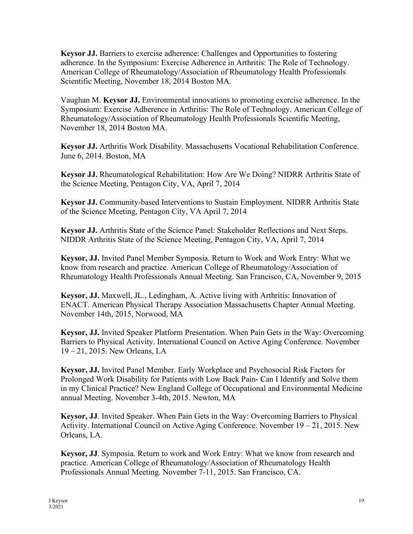**Keysor JJ.** Barriers to exercise adherence: Challenges and Opportunities to fostering adherence. In the Symposium: Exercise Adherence in Arthritis: The Role of Technology. American College of Rheumatology/Association of Rheumatology Health Professionals Scientific Meeting, November 18, 2014 Boston MA.

Vaughan M. **Keysor JJ.** Environmental innovations to promoting exercise adherence. In the Symposium: Exercise Adherence in Arthritis: The Role of Technology. American College of Rheumatology/Association of Rheumatology Health Professionals Scientific Meeting, November 18, 2014 Boston MA.

**Keysor JJ.** Arthritis Work Disability. Massachusetts Vocational Rehabilitation Conference. June 6, 2014. Boston, MA

**Keysor JJ.** Rheumatological Rehabilitation: How Are We Doing? NIDRR Arthritis State of the Science Meeting, Pentagon City, VA, April 7, 2014

**Keysor JJ.** Community-based Interventions to Sustain Employment. NIDRR Arthritis State of the Science Meeting, Pentagon City, VA April 7, 2014

**Keysor JJ.** Arthritis State of the Science Panel: Stakeholder Reflections and Next Steps. NIDDR Arthritis State of the Science Meeting, Pentagon City, VA, April 7, 2014

**Keysor, JJ.** Invited Panel Member Symposia. Return to Work and Work Entry: What we know from research and practice. American College of Rheumatology/Association of Rheumatology Health Professionals Annual Meeting. San Francisco, CA, November 9, 2015

**Keysor, JJ.** Maxwell, JL., Ledingham, A. Active living with Arthritis: Innovation of ENACT. American Physical Therapy Association Massachusetts Chapter Annual Meeting. November 14th, 2015, Norwood, MA

**Keysor, JJ.** Invited Speaker Platform Presentation. When Pain Gets in the Way: Overcoming Barriers to Physical Activity. International Council on Active Aging Conference. November 19 – 21, 2015. New Orleans, LA

**Keysor, JJ.** Invited Panel Member. Early Workplace and Psychosocial Risk Factors for Prolonged Work Disability for Patients with Low Back Pain- Can I Identify and Solve them in my Clinical Practice? New England College of Occupational and Environmental Medicine annual Meeting. November 3-4th, 2015. Newton, MA

**Keysor, JJ**. Invited Speaker. When Pain Gets in the Way: Overcoming Barriers to Physical Activity. International Council on Active Aging Conference. November 19 – 21, 2015. New Orleans, LA.

**Keysor, JJ**. Symposia. Return to work and Work Entry: What we know from research and practice. American College of Rheumatology/Association of Rheumatology Health Professionals Annual Meeting. November 7-11, 2015. San Francisco, CA.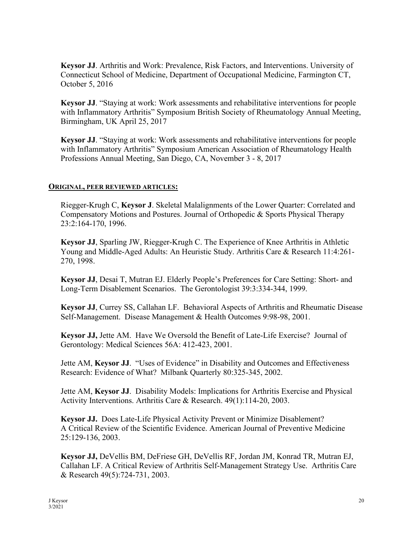**Keysor JJ**. Arthritis and Work: Prevalence, Risk Factors, and Interventions. University of Connecticut School of Medicine, Department of Occupational Medicine, Farmington CT, October 5, 2016

**Keysor JJ**. "Staying at work: Work assessments and rehabilitative interventions for people with Inflammatory Arthritis" Symposium British Society of Rheumatology Annual Meeting, Birmingham, UK April 25, 2017

**Keysor JJ**. "Staying at work: Work assessments and rehabilitative interventions for people with Inflammatory Arthritis" Symposium American Association of Rheumatology Health Professions Annual Meeting, San Diego, CA, November 3 - 8, 2017

#### **ORIGINAL, PEER REVIEWED ARTICLES:**

Riegger-Krugh C, **Keysor J**. Skeletal Malalignments of the Lower Quarter: Correlated and Compensatory Motions and Postures. Journal of Orthopedic & Sports Physical Therapy 23:2:164-170, 1996.

**Keysor JJ**, Sparling JW, Riegger-Krugh C. The Experience of Knee Arthritis in Athletic Young and Middle-Aged Adults: An Heuristic Study. Arthritis Care & Research 11:4:261- 270, 1998.

**Keysor JJ**, Desai T, Mutran EJ. Elderly People's Preferences for Care Setting: Short- and Long-Term Disablement Scenarios. The Gerontologist 39:3:334-344, 1999.

**Keysor JJ**, Currey SS, Callahan LF. Behavioral Aspects of Arthritis and Rheumatic Disease Self-Management. Disease Management & Health Outcomes 9:98-98, 2001.

**Keysor JJ,** Jette AM. Have We Oversold the Benefit of Late-Life Exercise? Journal of Gerontology: Medical Sciences 56A: 412-423, 2001.

Jette AM, **Keysor JJ**. "Uses of Evidence" in Disability and Outcomes and Effectiveness Research: Evidence of What? Milbank Quarterly 80:325-345, 2002.

Jette AM, **Keysor JJ**. Disability Models: Implications for Arthritis Exercise and Physical Activity Interventions. Arthritis Care & Research. 49(1):114-20, 2003.

**Keysor JJ.** Does Late-Life Physical Activity Prevent or Minimize Disablement? A Critical Review of the Scientific Evidence. American Journal of Preventive Medicine 25:129-136, 2003.

**Keysor JJ,** DeVellis BM, DeFriese GH, DeVellis RF, Jordan JM, Konrad TR, Mutran EJ, Callahan LF. A Critical Review of Arthritis Self-Management Strategy Use. Arthritis Care & Research 49(5):724-731, 2003.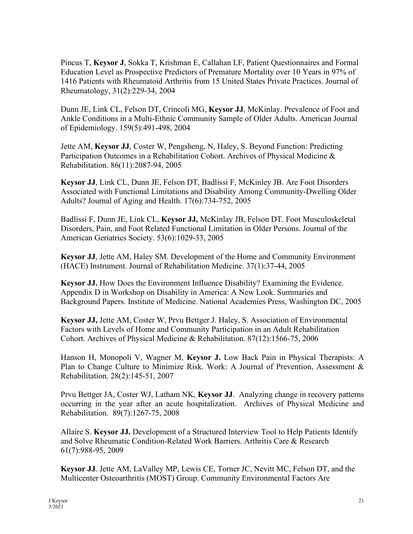Pincus T, **Keysor J**, Sokka T, Krishman E, Callahan LF, Patient Questionnaires and Formal Education Level as Prospective Predictors of Premature Mortality over 10 Years in 97% of 1416 Patients with Rheumatoid Arthritis from 15 United States Private Practices. Journal of Rheumatology, 31(2):229-34, 2004

Dunn JE, Link CL, Felson DT, Crincoli MG, **Keysor JJ**, McKinlay. Prevalence of Foot and Ankle Conditions in a Multi-Ethnic Community Sample of Older Adults. American Journal of Epidemiology. 159(5):491-498, 2004

Jette AM, **Keysor JJ**, Coster W, Pengsheng, N, Haley, S. Beyond Function: Predicting Participation Outcomes in a Rehabilitation Cohort. Archives of Physical Medicine & Rehabilitation. 86(11):2087-94, 2005

**Keysor JJ**, Link CL, Dunn JE, Felson DT, Badlissi F, McKinley JB. Are Foot Disorders Associated with Functional Limitations and Disability Among Community-Dwelling Older Adults? Journal of Aging and Health. 17(6):734-752, 2005

Badlissi F, Dunn JE, Link CL, **Keysor JJ,** McKinlay JB, Felson DT. Foot Musculoskeletal Disorders, Pain, and Foot Related Functional Limitation in Older Persons. Journal of the American Geriatrics Society. 53(6):1029-33, 2005

**Keysor JJ**, Jette AM, Haley SM. Development of the Home and Community Environment (HACE) Instrument. Journal of Rehabilitation Medicine. 37(1):37-44, 2005

**Keysor JJ.** How Does the Environment Influence Disability? Examining the Evidence. Appendix D in Workshop on Disability in America: A New Look. Summaries and Background Papers. Institute of Medicine. National Academies Press, Washington DC, 2005

**Keysor JJ,** Jette AM, Coster W, Prvu Bettger J. Haley, S. Association of Environmental Factors with Levels of Home and Community Participation in an Adult Rehabilitation Cohort. Archives of Physical Medicine & Rehabilitation. 87(12):1566-75, 2006

Hanson H, Monopoli V, Wagner M, **Keysor J.** Low Back Pain in Physical Therapists: A Plan to Change Culture to Minimize Risk. Work: A Journal of Prevention, Assessment & Rehabilitation. 28(2):145-51, 2007

Prvu Bettger JA, Coster WJ, Latham NK, **Keysor JJ**. Analyzing change in recovery patterns occurring in the year after an acute hospitalization. Archives of Physical Medicine and Rehabilitation. 89(7):1267-75, 2008

Allaire S. **Keysor JJ.** Development of a Structured Interview Tool to Help Patients Identify and Solve Rheumatic Condition-Related Work Barriers. Arthritis Care & Research 61(7):988-95, 2009

**Keysor JJ**. Jette AM, LaValley MP, Lewis CE, Torner JC, Nevitt MC, Felson DT, and the Multicenter Osteoarthritis (MOST) Group. Community Environmental Factors Are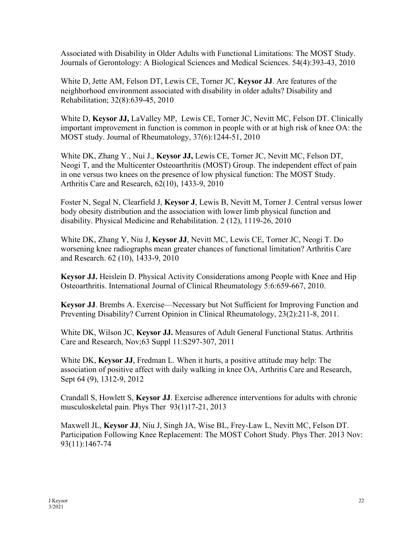Associated with Disability in Older Adults with Functional Limitations: The MOST Study. Journals of Gerontology: A Biological Sciences and Medical Sciences. 54(4):393-43, 2010

White D, Jette AM, Felson DT, Lewis CE, Torner JC, **Keysor JJ**. Are features of the neighborhood environment associated with disability in older adults? Disability and Rehabilitation; 32(8):639-45, 2010

White D, **Keysor JJ,** LaValley MP, Lewis CE, Torner JC, Nevitt MC, Felson DT. Clinically important improvement in function is common in people with or at high risk of knee OA: the MOST study. Journal of Rheumatology, 37(6):1244-51, 2010

White DK, Zhang Y., Nui J., **Keysor JJ,** Lewis CE, Torner JC, Nevitt MC, Felson DT, Neogi T, and the Multicenter Osteoarthritis (MOST) Group. The independent effect of pain in one versus two knees on the presence of low physical function: The MOST Study. Arthritis Care and Research, 62(10), 1433-9, 2010

Foster N, Segal N, Clearfield J, **Keysor J**, Lewis B, Nevitt M, Torner J. Central versus lower body obesity distribution and the association with lower limb physical function and disability. Physical Medicine and Rehabilitation. 2 (12), 1119-26, 2010

White DK, Zhang Y, Niu J, **Keysor JJ**, Nevitt MC, Lewis CE, Torner JC, Neogi T. Do worsening knee radiographs mean greater chances of functional limitation? Arthritis Care and Research. 62 (10), 1433-9, 2010

**Keysor JJ.** Heislein D. Physical Activity Considerations among People with Knee and Hip Osteoarthritis. International Journal of Clinical Rheumatology 5:6:659-667, 2010.

**Keysor JJ**. Brembs A. Exercise—Necessary but Not Sufficient for Improving Function and Preventing Disability? Current Opinion in Clinical Rheumatology, 23(2):211-8, 2011.

White DK, Wilson JC, **Keysor JJ.** Measures of Adult General Functional Status. Arthritis Care and Research, Nov;63 Suppl 11:S297-307, 2011

White DK, **Keysor JJ**, Fredman L. When it hurts, a positive attitude may help: The association of positive affect with daily walking in knee OA, Arthritis Care and Research, Sept 64 (9), 1312-9, 2012

Crandall S, Howlett S, **Keysor JJ**. Exercise adherence interventions for adults with chronic musculoskeletal pain. Phys Ther 93(1)17-21, 2013

Maxwell JL, **Keysor JJ**, Niu J, Singh JA, Wise BL, Frey-Law L, Nevitt MC, Felson DT. Participation Following Knee Replacement: The MOST Cohort Study. Phys Ther. 2013 Nov: 93(11):1467-74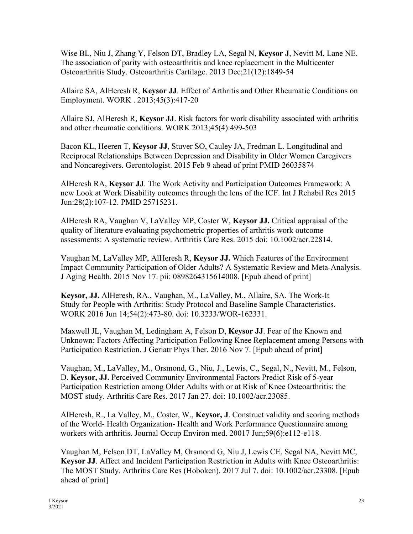Wise BL, Niu J, Zhang Y, Felson DT, Bradley LA, Segal N, **Keysor J**, Nevitt M, Lane NE. The association of parity with osteoarthritis and knee replacement in the Multicenter Osteoarthritis Study. Osteoarthritis Cartilage. 2013 Dec;21(12):1849-54

Allaire SA, AlHeresh R, **Keysor JJ**. Effect of Arthritis and Other Rheumatic Conditions on Employment. WORK . 2013;45(3):417-20

Allaire SJ, AlHeresh R, **Keysor JJ**. Risk factors for work disability associated with arthritis and other rheumatic conditions. WORK 2013;45(4):499-503

Bacon KL, Heeren T, **Keysor JJ**, Stuver SO, Cauley JA, Fredman L. Longitudinal and Reciprocal Relationships Between Depression and Disability in Older Women Caregivers and Noncaregivers. Gerontologist. 2015 Feb 9 ahead of print PMID 26035874

AlHeresh RA, **Keysor JJ**. The Work Activity and Participation Outcomes Framework: A new Look at Work Disability outcomes through the lens of the ICF. Int J Rehabil Res 2015 Jun:28(2):107-12. PMID 25715231.

AlHeresh RA, Vaughan V, LaValley MP, Coster W, **Keysor JJ.** Critical appraisal of the quality of literature evaluating psychometric properties of arthritis work outcome assessments: A systematic review. Arthritis Care Res. 2015 doi: 10.1002/acr.22814.

Vaughan M, LaValley MP, AlHeresh R, **Keysor JJ.** Which Features of the Environment Impact Community Participation of Older Adults? A Systematic Review and Meta-Analysis. J Aging Health. 2015 Nov 17. pii: 0898264315614008. [Epub ahead of print]

**Keysor, JJ.** AlHeresh, RA., Vaughan, M., LaValley, M., Allaire, SA. The Work-It Study for People with Arthritis: Study Protocol and Baseline Sample Characteristics. WORK 2016 Jun 14;54(2):473-80. doi: 10.3233/WOR-162331.

Maxwell JL, Vaughan M, Ledingham A, Felson D, **Keysor JJ**. Fear of the Known and Unknown: Factors Affecting Participation Following Knee Replacement among Persons with Participation Restriction. J Geriatr Phys Ther. 2016 Nov 7. [Epub ahead of print]

Vaughan, M., LaValley, M., Orsmond, G., Niu, J., Lewis, C., Segal, N., Nevitt, M., Felson, D. **Keysor, JJ.** Perceived Community Environmental Factors Predict Risk of 5-year Participation Restriction among Older Adults with or at Risk of Knee Osteoarthritis: the MOST study. Arthritis Care Res. 2017 Jan 27. doi: 10.1002/acr.23085.

AlHeresh, R., La Valley, M., Coster, W., **Keysor, J**. Construct validity and scoring methods of the World- Health Organization- Health and Work Performance Questionnaire among workers with arthritis. Journal Occup Environ med. 20017 Jun;59(6):e112-e118.

Vaughan M, Felson DT, LaValley M, Orsmond G, Niu J, Lewis CE, Segal NA, Nevitt MC, **Keysor JJ**. Affect and Incident Participation Restriction in Adults with Knee Osteoarthritis: The MOST Study. Arthritis Care Res (Hoboken). 2017 Jul 7. doi: 10.1002/acr.23308. [Epub ahead of print]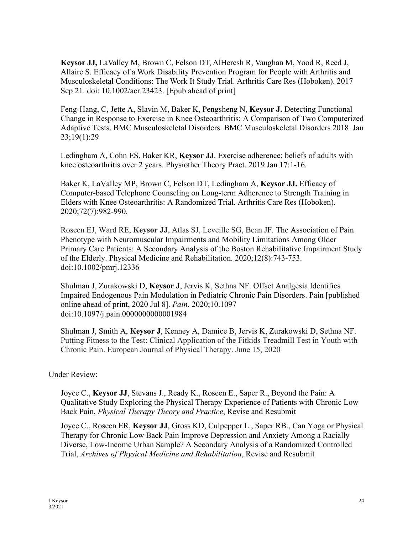**Keysor JJ,** LaValley M, Brown C, Felson DT, AlHeresh R, Vaughan M, Yood R, Reed J, Allaire S. Efficacy of a Work Disability Prevention Program for People with Arthritis and Musculoskeletal Conditions: The Work It Study Trial. Arthritis Care Res (Hoboken). 2017 Sep 21. doi: 10.1002/acr.23423. [Epub ahead of print]

Feng-Hang, C, Jette A, Slavin M, Baker K, Pengsheng N, **Keysor J.** Detecting Functional Change in Response to Exercise in Knee Osteoarthritis: A Comparison of Two Computerized Adaptive Tests. BMC Musculoskeletal Disorders. BMC Musculoskeletal Disorders 2018 Jan 23;19(1):29

Ledingham A, Cohn ES, Baker KR, **Keysor JJ**. Exercise adherence: beliefs of adults with knee osteoarthritis over 2 years. Physiother Theory Pract. 2019 Jan 17:1-16.

Baker K, LaValley MP, Brown C, Felson DT, Ledingham A, **Keysor JJ.** Efficacy of Computer-based Telephone Counseling on Long-term Adherence to Strength Training in Elders with Knee Osteoarthritis: A Randomized Trial. Arthritis Care Res (Hoboken). 2020;72(7):982-990.

Roseen EJ, Ward RE, **Keysor JJ**, Atlas SJ, Leveille SG, Bean JF. [The Association of Pain](https://pubmed.ncbi.nlm.nih.gov/31994830/?from_term=keysor+j&from_sort=date&from_pos=1)  [Phenotype with Neuromuscular Impairments and Mobility Limitations Among Older](https://pubmed.ncbi.nlm.nih.gov/31994830/?from_term=keysor+j&from_sort=date&from_pos=1)  [Primary Care Patients: A Secondary Analysis of the Boston Rehabilitative Impairment Study](https://pubmed.ncbi.nlm.nih.gov/31994830/?from_term=keysor+j&from_sort=date&from_pos=1)  [of the Elderly.](https://pubmed.ncbi.nlm.nih.gov/31994830/?from_term=keysor+j&from_sort=date&from_pos=1) Physical Medicine and Rehabilitation. 2020;12(8):743-753. doi:10.1002/pmrj.12336

Shulman J, Zurakowski D, **Keysor J**, Jervis K, Sethna NF. Offset Analgesia Identifies Impaired Endogenous Pain Modulation in Pediatric Chronic Pain Disorders. Pain [published online ahead of print, 2020 Jul 8]. *Pain*. 2020;10.1097 doi:10.1097/j.pain.0000000000001984

Shulman J, Smith A, **Keysor J**, Kenney A, Damice B, Jervis K, Zurakowski D, Sethna NF. Putting Fitness to the Test: Clinical Application of the Fitkids Treadmill Test in Youth with Chronic Pain. European Journal of Physical Therapy. June 15, 2020

Under Review:

Joyce C., **Keysor JJ**, Stevans J., Ready K., Roseen E., Saper R., Beyond the Pain: A Qualitative Study Exploring the Physical Therapy Experience of Patients with Chronic Low Back Pain, *Physical Therapy Theory and Practice*, Revise and Resubmit

Joyce C., Roseen ER, **Keysor JJ**, Gross KD, Culpepper L., Saper RB., Can Yoga or Physical Therapy for Chronic Low Back Pain Improve Depression and Anxiety Among a Racially Diverse, Low-Income Urban Sample? A Secondary Analysis of a Randomized Controlled Trial, *Archives of Physical Medicine and Rehabilitation*, Revise and Resubmit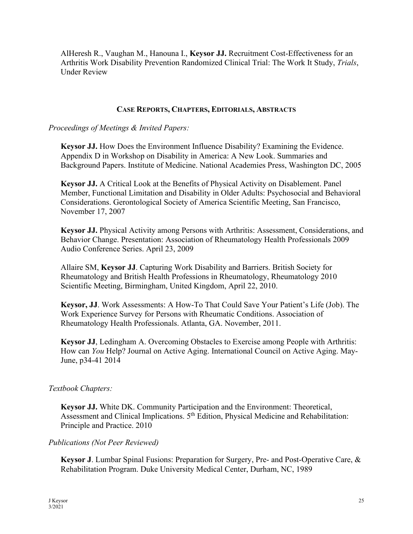AlHeresh R., Vaughan M., Hanouna I., **Keysor JJ.** Recruitment Cost-Effectiveness for an Arthritis Work Disability Prevention Randomized Clinical Trial: The Work It Study, *Trials*, Under Review

#### **CASE REPORTS, CHAPTERS, EDITORIALS, ABSTRACTS**

*Proceedings of Meetings & Invited Papers:*

**Keysor JJ.** How Does the Environment Influence Disability? Examining the Evidence. Appendix D in Workshop on Disability in America: A New Look. Summaries and Background Papers. Institute of Medicine. National Academies Press, Washington DC, 2005

**Keysor JJ.** A Critical Look at the Benefits of Physical Activity on Disablement. Panel Member, Functional Limitation and Disability in Older Adults: Psychosocial and Behavioral Considerations. Gerontological Society of America Scientific Meeting, San Francisco, November 17, 2007

**Keysor JJ.** Physical Activity among Persons with Arthritis: Assessment, Considerations, and Behavior Change. Presentation: Association of Rheumatology Health Professionals 2009 Audio Conference Series. April 23, 2009

Allaire SM, **Keysor JJ**. Capturing Work Disability and Barriers. British Society for Rheumatology and British Health Professions in Rheumatology, Rheumatology 2010 Scientific Meeting, Birmingham, United Kingdom, April 22, 2010.

**Keysor, JJ**. Work Assessments: A How-To That Could Save Your Patient's Life (Job). The Work Experience Survey for Persons with Rheumatic Conditions. Association of Rheumatology Health Professionals. Atlanta, GA. November, 2011.

**Keysor JJ**, Ledingham A. Overcoming Obstacles to Exercise among People with Arthritis: How can *You* Help? Journal on Active Aging. International Council on Active Aging. May-June, p34-41 2014

### *Textbook Chapters:*

**Keysor JJ.** White DK. Community Participation and the Environment: Theoretical, Assessment and Clinical Implications.  $5<sup>th</sup>$  Edition, Physical Medicine and Rehabilitation: Principle and Practice. 2010

#### *Publications (Not Peer Reviewed)*

**Keysor J**. Lumbar Spinal Fusions: Preparation for Surgery, Pre- and Post-Operative Care, & Rehabilitation Program. Duke University Medical Center, Durham, NC, 1989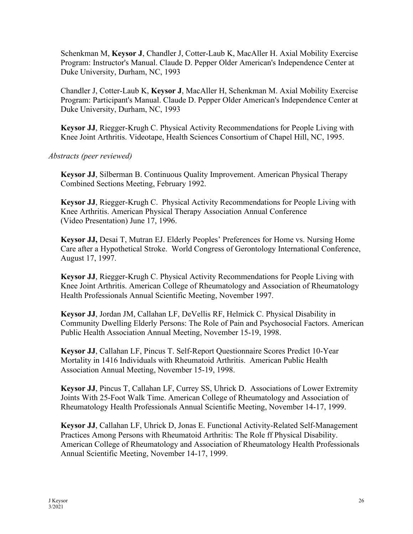Schenkman M, **Keysor J**, Chandler J, Cotter-Laub K, MacAller H. Axial Mobility Exercise Program: Instructor's Manual. Claude D. Pepper Older American's Independence Center at Duke University, Durham, NC, 1993

Chandler J, Cotter-Laub K, **Keysor J**, MacAller H, Schenkman M. Axial Mobility Exercise Program: Participant's Manual. Claude D. Pepper Older American's Independence Center at Duke University, Durham, NC, 1993

**Keysor JJ**, Riegger-Krugh C. Physical Activity Recommendations for People Living with Knee Joint Arthritis. Videotape, Health Sciences Consortium of Chapel Hill, NC, 1995.

*Abstracts (peer reviewed)*

**Keysor JJ**, Silberman B. Continuous Quality Improvement. American Physical Therapy Combined Sections Meeting, February 1992.

**Keysor JJ**, Riegger-Krugh C. Physical Activity Recommendations for People Living with Knee Arthritis. American Physical Therapy Association Annual Conference (Video Presentation) June 17, 1996.

**Keysor JJ,** Desai T, Mutran EJ. Elderly Peoples' Preferences for Home vs. Nursing Home Care after a Hypothetical Stroke. World Congress of Gerontology International Conference, August 17, 1997.

**Keysor JJ**, Riegger-Krugh C. Physical Activity Recommendations for People Living with Knee Joint Arthritis. American College of Rheumatology and Association of Rheumatology Health Professionals Annual Scientific Meeting, November 1997.

**Keysor JJ**, Jordan JM, Callahan LF, DeVellis RF, Helmick C. Physical Disability in Community Dwelling Elderly Persons: The Role of Pain and Psychosocial Factors. American Public Health Association Annual Meeting, November 15-19, 1998.

**Keysor JJ**, Callahan LF, Pincus T. Self-Report Questionnaire Scores Predict 10-Year Mortality in 1416 Individuals with Rheumatoid Arthritis. American Public Health Association Annual Meeting, November 15-19, 1998.

**Keysor JJ**, Pincus T, Callahan LF, Currey SS, Uhrick D. Associations of Lower Extremity Joints With 25-Foot Walk Time. American College of Rheumatology and Association of Rheumatology Health Professionals Annual Scientific Meeting, November 14-17, 1999.

**Keysor JJ**, Callahan LF, Uhrick D, Jonas E. Functional Activity-Related Self-Management Practices Among Persons with Rheumatoid Arthritis: The Role ff Physical Disability. American College of Rheumatology and Association of Rheumatology Health Professionals Annual Scientific Meeting, November 14-17, 1999.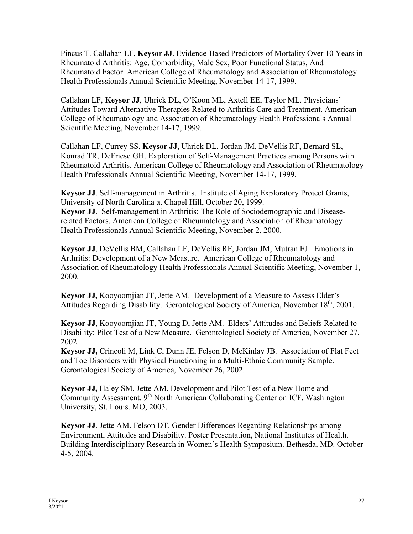Pincus T. Callahan LF, **Keysor JJ**. Evidence-Based Predictors of Mortality Over 10 Years in Rheumatoid Arthritis: Age, Comorbidity, Male Sex, Poor Functional Status, And Rheumatoid Factor. American College of Rheumatology and Association of Rheumatology Health Professionals Annual Scientific Meeting, November 14-17, 1999.

Callahan LF, **Keysor JJ**, Uhrick DL, O'Koon ML, Axtell EE, Taylor ML. Physicians' Attitudes Toward Alternative Therapies Related to Arthritis Care and Treatment. American College of Rheumatology and Association of Rheumatology Health Professionals Annual Scientific Meeting, November 14-17, 1999.

Callahan LF, Currey SS, **Keysor JJ**, Uhrick DL, Jordan JM, DeVellis RF, Bernard SL, Konrad TR, DeFriese GH. Exploration of Self-Management Practices among Persons with Rheumatoid Arthritis. American College of Rheumatology and Association of Rheumatology Health Professionals Annual Scientific Meeting, November 14-17, 1999.

**Keysor JJ**. Self-management in Arthritis. Institute of Aging Exploratory Project Grants, University of North Carolina at Chapel Hill, October 20, 1999. **Keysor JJ**. Self-management in Arthritis: The Role of Sociodemographic and Diseaserelated Factors. American College of Rheumatology and Association of Rheumatology Health Professionals Annual Scientific Meeting, November 2, 2000.

**Keysor JJ**, DeVellis BM, Callahan LF, DeVellis RF, Jordan JM, Mutran EJ. Emotions in Arthritis: Development of a New Measure. American College of Rheumatology and Association of Rheumatology Health Professionals Annual Scientific Meeting, November 1, 2000.

**Keysor JJ,** Kooyoomjian JT, Jette AM. Development of a Measure to Assess Elder's Attitudes Regarding Disability. Gerontological Society of America, November 18<sup>th</sup>, 2001.

**Keysor JJ**, Kooyoomjian JT, Young D, Jette AM. Elders' Attitudes and Beliefs Related to Disability: Pilot Test of a New Measure. Gerontological Society of America, November 27, 2002.

**Keysor JJ,** Crincoli M, Link C, Dunn JE, Felson D, McKinlay JB. Association of Flat Feet and Toe Disorders with Physical Functioning in a Multi-Ethnic Community Sample. Gerontological Society of America, November 26, 2002.

**Keysor JJ,** Haley SM, Jette AM. Development and Pilot Test of a New Home and Community Assessment. 9th North American Collaborating Center on ICF. Washington University, St. Louis. MO, 2003.

**Keysor JJ**. Jette AM. Felson DT. Gender Differences Regarding Relationships among Environment, Attitudes and Disability. Poster Presentation, National Institutes of Health. Building Interdisciplinary Research in Women's Health Symposium. Bethesda, MD. October 4-5, 2004.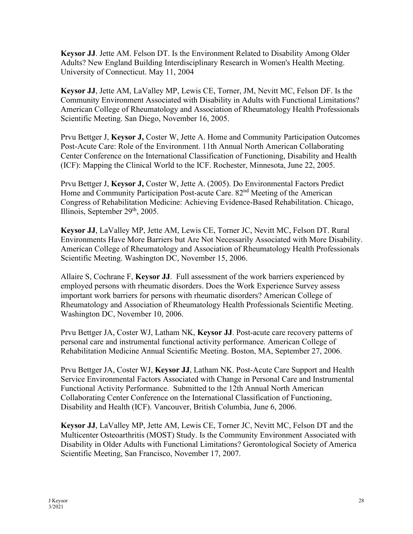**Keysor JJ**. Jette AM. Felson DT. Is the Environment Related to Disability Among Older Adults? New England Building Interdisciplinary Research in Women's Health Meeting. University of Connecticut. May 11, 2004

**Keysor JJ**, Jette AM, LaValley MP, Lewis CE, Torner, JM, Nevitt MC, Felson DF. Is the Community Environment Associated with Disability in Adults with Functional Limitations? American College of Rheumatology and Association of Rheumatology Health Professionals Scientific Meeting. San Diego, November 16, 2005.

Prvu Bettger J, **Keysor J,** Coster W, Jette A. Home and Community Participation Outcomes Post-Acute Care: Role of the Environment. 11th Annual North American Collaborating Center Conference on the International Classification of Functioning, Disability and Health (ICF): Mapping the Clinical World to the ICF. Rochester, Minnesota, June 22, 2005.

Prvu Bettger J, **Keysor J,** Coster W, Jette A. (2005). Do Environmental Factors Predict Home and Community Participation Post-acute Care. 82<sup>nd</sup> Meeting of the American Congress of Rehabilitation Medicine: Achieving Evidence-Based Rehabilitation. Chicago, Illinois, September 29<sup>th</sup>, 2005.

**Keysor JJ**, LaValley MP, Jette AM, Lewis CE, Torner JC, Nevitt MC, Felson DT. Rural Environments Have More Barriers but Are Not Necessarily Associated with More Disability. American College of Rheumatology and Association of Rheumatology Health Professionals Scientific Meeting. Washington DC, November 15, 2006.

Allaire S, Cochrane F, **Keysor JJ**. Full assessment of the work barriers experienced by employed persons with rheumatic disorders. Does the Work Experience Survey assess important work barriers for persons with rheumatic disorders? American College of Rheumatology and Association of Rheumatology Health Professionals Scientific Meeting. Washington DC, November 10, 2006.

Prvu Bettger JA, Coster WJ, Latham NK, **Keysor JJ**. Post-acute care recovery patterns of personal care and instrumental functional activity performance. American College of Rehabilitation Medicine Annual Scientific Meeting. Boston, MA, September 27, 2006.

Prvu Bettger JA, Coster WJ, **Keysor JJ**, Latham NK. Post-Acute Care Support and Health Service Environmental Factors Associated with Change in Personal Care and Instrumental Functional Activity Performance. Submitted to the 12th Annual North American Collaborating Center Conference on the International Classification of Functioning, Disability and Health (ICF). Vancouver, British Columbia, June 6, 2006.

**Keysor JJ**, LaValley MP, Jette AM, Lewis CE, Torner JC, Nevitt MC, Felson DT and the Multicenter Osteoarthritis (MOST) Study. Is the Community Environment Associated with Disability in Older Adults with Functional Limitations? Gerontological Society of America Scientific Meeting, San Francisco, November 17, 2007.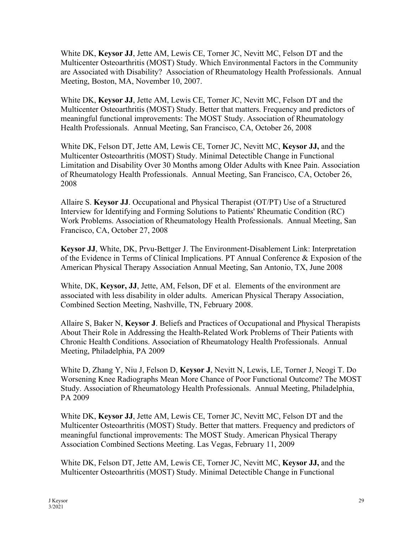White DK, **Keysor JJ**, Jette AM, Lewis CE, Torner JC, Nevitt MC, Felson DT and the Multicenter Osteoarthritis (MOST) Study. Which Environmental Factors in the Community are Associated with Disability? Association of Rheumatology Health Professionals. Annual Meeting, Boston, MA, November 10, 2007.

White DK, **Keysor JJ**, Jette AM, Lewis CE, Torner JC, Nevitt MC, Felson DT and the Multicenter Osteoarthritis (MOST) Study. Better that matters. Frequency and predictors of meaningful functional improvements: The MOST Study. Association of Rheumatology Health Professionals. Annual Meeting, San Francisco, CA, October 26, 2008

White DK, Felson DT, Jette AM, Lewis CE, Torner JC, Nevitt MC, **Keysor JJ,** and the Multicenter Osteoarthritis (MOST) Study. Minimal Detectible Change in Functional Limitation and Disability Over 30 Months among Older Adults with Knee Pain. Association of Rheumatology Health Professionals. Annual Meeting, San Francisco, CA, October 26, 2008

Allaire S. **Keysor JJ**. Occupational and Physical Therapist (OT/PT) Use of a Structured Interview for Identifying and Forming Solutions to Patients' Rheumatic Condition (RC) Work Problems. Association of Rheumatology Health Professionals. Annual Meeting, San Francisco, CA, October 27, 2008

**Keysor JJ**, White, DK, Prvu-Bettger J. The Environment-Disablement Link: Interpretation of the Evidence in Terms of Clinical Implications. PT Annual Conference & Exposion of the American Physical Therapy Association Annual Meeting, San Antonio, TX, June 2008

White, DK, **Keysor, JJ**, Jette, AM, Felson, DF et al. Elements of the environment are associated with less disability in older adults. American Physical Therapy Association, Combined Section Meeting, Nashville, TN, February 2008.

Allaire S, Baker N, **Keysor J**. Beliefs and Practices of Occupational and Physical Therapists About Their Role in Addressing the Health-Related Work Problems of Their Patients with Chronic Health Conditions. Association of Rheumatology Health Professionals. Annual Meeting, Philadelphia, PA 2009

White D, Zhang Y, Niu J, Felson D, **Keysor J**, Nevitt N, Lewis, LE, Torner J, Neogi T. Do Worsening Knee Radiographs Mean More Chance of Poor Functional Outcome? The MOST Study. Association of Rheumatology Health Professionals. Annual Meeting, Philadelphia, PA 2009

White DK, **Keysor JJ**, Jette AM, Lewis CE, Torner JC, Nevitt MC, Felson DT and the Multicenter Osteoarthritis (MOST) Study. Better that matters. Frequency and predictors of meaningful functional improvements: The MOST Study. American Physical Therapy Association Combined Sections Meeting. Las Vegas, February 11, 2009

White DK, Felson DT, Jette AM, Lewis CE, Torner JC, Nevitt MC, **Keysor JJ,** and the Multicenter Osteoarthritis (MOST) Study. Minimal Detectible Change in Functional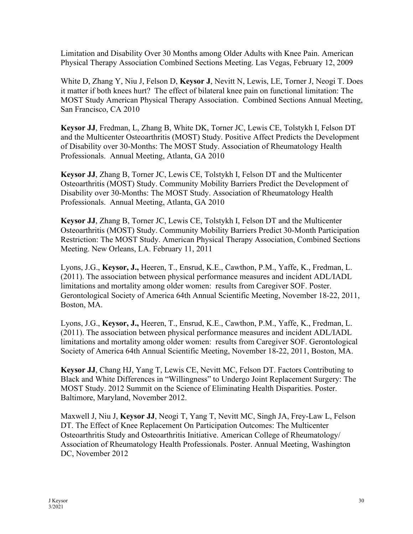Limitation and Disability Over 30 Months among Older Adults with Knee Pain. American Physical Therapy Association Combined Sections Meeting. Las Vegas, February 12, 2009

White D, Zhang Y, Niu J, Felson D, **Keysor J**, Nevitt N, Lewis, LE, Torner J, Neogi T. Does it matter if both knees hurt? The effect of bilateral knee pain on functional limitation: The MOST Study American Physical Therapy Association. Combined Sections Annual Meeting, San Francisco, CA 2010

**Keysor JJ**, Fredman, L, Zhang B, White DK, Torner JC, Lewis CE, Tolstykh I, Felson DT and the Multicenter Osteoarthritis (MOST) Study. Positive Affect Predicts the Development of Disability over 30-Months: The MOST Study. Association of Rheumatology Health Professionals. Annual Meeting, Atlanta, GA 2010

**Keysor JJ**, Zhang B, Torner JC, Lewis CE, Tolstykh I, Felson DT and the Multicenter Osteoarthritis (MOST) Study. Community Mobility Barriers Predict the Development of Disability over 30-Months: The MOST Study. Association of Rheumatology Health Professionals. Annual Meeting, Atlanta, GA 2010

**Keysor JJ**, Zhang B, Torner JC, Lewis CE, Tolstykh I, Felson DT and the Multicenter Osteoarthritis (MOST) Study. Community Mobility Barriers Predict 30-Month Participation Restriction: The MOST Study. American Physical Therapy Association, Combined Sections Meeting. New Orleans, LA. February 11, 2011

Lyons, J.G., **Keysor, J.,** Heeren, T., Ensrud, K.E., Cawthon, P.M., Yaffe, K., Fredman, L. (2011). The association between physical performance measures and incident ADL/IADL limitations and mortality among older women: results from Caregiver SOF. Poster. Gerontological Society of America 64th Annual Scientific Meeting, November 18-22, 2011, Boston, MA.

Lyons, J.G., **Keysor, J.,** Heeren, T., Ensrud, K.E., Cawthon, P.M., Yaffe, K., Fredman, L. (2011). The association between physical performance measures and incident ADL/IADL limitations and mortality among older women: results from Caregiver SOF. Gerontological Society of America 64th Annual Scientific Meeting, November 18-22, 2011, Boston, MA.

**Keysor JJ**, Chang HJ, Yang T, Lewis CE, Nevitt MC, Felson DT. Factors Contributing to Black and White Differences in "Willingness" to Undergo Joint Replacement Surgery: The MOST Study. 2012 Summit on the Science of Eliminating Health Disparities. Poster. Baltimore, Maryland, November 2012.

Maxwell J, Niu J, **Keysor JJ**, Neogi T, Yang T, Nevitt MC, Singh JA, Frey-Law L, Felson DT. The Effect of Knee Replacement On Participation Outcomes: The Multicenter Osteoarthritis Study and Osteoarthritis Initiative. American College of Rheumatology/ Association of Rheumatology Health Professionals. Poster. Annual Meeting, Washington DC, November 2012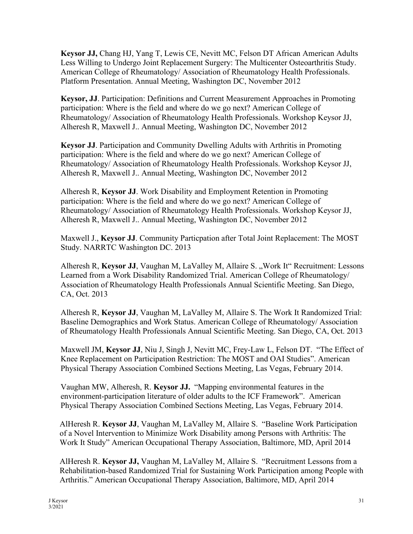**Keysor JJ,** Chang HJ, Yang T, Lewis CE, Nevitt MC, Felson DT African American Adults Less Willing to Undergo Joint Replacement Surgery: The Multicenter Osteoarthritis Study. American College of Rheumatology/ Association of Rheumatology Health Professionals. Platform Presentation. Annual Meeting, Washington DC, November 2012

**Keysor, JJ**. Participation: Definitions and Current Measurement Approaches in Promoting participation: Where is the field and where do we go next? American College of Rheumatology/ Association of Rheumatology Health Professionals. Workshop Keysor JJ, Alheresh R, Maxwell J.. Annual Meeting, Washington DC, November 2012

**Keysor JJ**. Participation and Community Dwelling Adults with Arthritis in Promoting participation: Where is the field and where do we go next? American College of Rheumatology/ Association of Rheumatology Health Professionals. Workshop Keysor JJ, Alheresh R, Maxwell J.. Annual Meeting, Washington DC, November 2012

Alheresh R, **Keysor JJ**. Work Disability and Employment Retention in Promoting participation: Where is the field and where do we go next? American College of Rheumatology/ Association of Rheumatology Health Professionals. Workshop Keysor JJ, Alheresh R, Maxwell J.. Annual Meeting, Washington DC, November 2012

Maxwell J., **Keysor JJ**. Community Particpation after Total Joint Replacement: The MOST Study. NARRTC Washington DC. 2013

Alheresh R, Keysor JJ, Vaughan M, LaValley M, Allaire S., Work It" Recruitment: Lessons Learned from a Work Disability Randomized Trial. American College of Rheumatology/ Association of Rheumatology Health Professionals Annual Scientific Meeting. San Diego, CA, Oct. 2013

Alheresh R, **Keysor JJ**, Vaughan M, LaValley M, Allaire S. The Work It Randomized Trial: Baseline Demographics and Work Status. American College of Rheumatology/ Association of Rheumatology Health Professionals Annual Scientific Meeting. San Diego, CA, Oct. 2013

Maxwell JM, **Keysor JJ**, Niu J, Singh J, Nevitt MC, Frey-Law L, Felson DT. "The Effect of Knee Replacement on Participation Restriction: The MOST and OAI Studies". American Physical Therapy Association Combined Sections Meeting, Las Vegas, February 2014.

Vaughan MW, Alheresh, R. **Keysor JJ.** "Mapping environmental features in the environment-participation literature of older adults to the ICF Framework". American Physical Therapy Association Combined Sections Meeting, Las Vegas, February 2014.

AlHeresh R. **Keysor JJ**, Vaughan M, LaValley M, Allaire S. "Baseline Work Participation of a Novel Intervention to Minimize Work Disability among Persons with Arthritis: The Work It Study" American Occupational Therapy Association, Baltimore, MD, April 2014

AlHeresh R. **Keysor JJ,** Vaughan M, LaValley M, Allaire S. "Recruitment Lessons from a Rehabilitation-based Randomized Trial for Sustaining Work Participation among People with Arthritis." American Occupational Therapy Association, Baltimore, MD, April 2014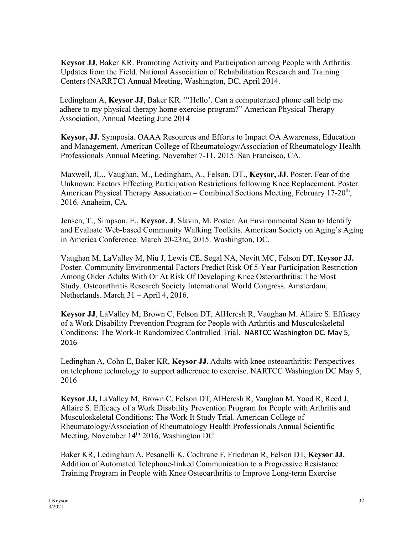**Keysor JJ**, Baker KR. Promoting Activity and Participation among People with Arthritis: Updates from the Field. National Association of Rehabilitation Research and Training Centers (NARRTC) Annual Meeting, Washington, DC, April 2014.

Ledingham A, **Keysor JJ**, Baker KR. "'Hello'. Can a computerized phone call help me adhere to my physical therapy home exercise program?" American Physical Therapy Association, Annual Meeting June 2014

**Keysor, JJ.** Symposia. OAAA Resources and Efforts to Impact OA Awareness, Education and Management. American College of Rheumatology/Association of Rheumatology Health Professionals Annual Meeting. November 7-11, 2015. San Francisco, CA.

Maxwell, JL., Vaughan, M., Ledingham, A., Felson, DT., **Keysor, JJ**. Poster. Fear of the Unknown: Factors Effecting Participation Restrictions following Knee Replacement. Poster. American Physical Therapy Association – Combined Sections Meeting, February 17-20<sup>th</sup>, 2016. Anaheim, CA.

Jensen, T., Simpson, E., **Keysor, J**. Slavin, M. Poster. An Environmental Scan to Identify and Evaluate Web-based Community Walking Toolkits. American Society on Aging's Aging in America Conference. March 20-23rd, 2015. Washington, DC.

Vaughan M, LaValley M, Niu J, Lewis CE, Segal NA, Nevitt MC, Felson DT, **Keysor JJ.**  Poster. Community Environmental Factors Predict Risk Of 5-Year Participation Restriction Among Older Adults With Or At Risk Of Developing Knee Osteoarthritis: The Most Study. Osteoarthritis Research Society International World Congress. Amsterdam, Netherlands. March 31 – April 4, 2016.

**Keysor JJ**, LaValley M, Brown C, Felson DT, AlHeresh R, Vaughan M. Allaire S. Efficacy of a Work Disability Prevention Program for People with Arthritis and Musculoskeletal Conditions: The Work-It Randomized Controlled Trial. NARTCC Washington DC. May 5, 2016

Ledinghan A, Cohn E, Baker KR, **Keysor JJ**. Adults with knee osteoarthritis: Perspectives on telephone technology to support adherence to exercise. NARTCC Washington DC May 5, 2016

**Keysor JJ,** LaValley M, Brown C, Felson DT, AlHeresh R, Vaughan M, Yood R, Reed J, Allaire S. Efficacy of a Work Disability Prevention Program for People with Arthritis and Musculoskeletal Conditions: The Work It Study Trial. American College of Rheumatology/Association of Rheumatology Health Professionals Annual Scientific Meeting, November 14<sup>th</sup> 2016, Washington DC

Baker KR, Ledingham A, Pesanelli K, Cochrane F, Friedman R, Felson DT, **Keysor JJ.**  Addition of Automated Telephone-linked Communication to a Progressive Resistance Training Program in People with Knee Osteoarthritis to Improve Long-term Exercise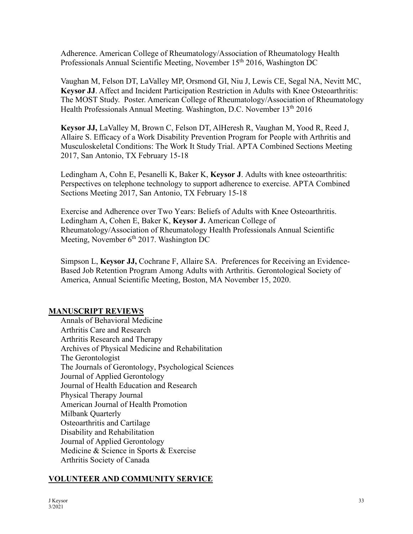Adherence. American College of Rheumatology/Association of Rheumatology Health Professionals Annual Scientific Meeting, November 15<sup>th</sup> 2016, Washington DC

Vaughan M, Felson DT, LaValley MP, Orsmond GI, Niu J, Lewis CE, Segal NA, Nevitt MC, **Keysor JJ**. Affect and Incident Participation Restriction in Adults with Knee Osteoarthritis: The MOST Study. Poster. American College of Rheumatology/Association of Rheumatology Health Professionals Annual Meeting. Washington, D.C. November 13<sup>th</sup> 2016

**Keysor JJ,** LaValley M, Brown C, Felson DT, AlHeresh R, Vaughan M, Yood R, Reed J, Allaire S. Efficacy of a Work Disability Prevention Program for People with Arthritis and Musculoskeletal Conditions: The Work It Study Trial. APTA Combined Sections Meeting 2017, San Antonio, TX February 15-18

Ledingham A, Cohn E, Pesanelli K, Baker K, **Keysor J**. Adults with knee osteoarthritis: Perspectives on telephone technology to support adherence to exercise. APTA Combined Sections Meeting 2017, San Antonio, TX February 15-18

Exercise and Adherence over Two Years: Beliefs of Adults with Knee Osteoarthritis. Ledingham A, Cohen E, Baker K, **Keysor J.** American College of Rheumatology/Association of Rheumatology Health Professionals Annual Scientific Meeting, November  $6<sup>th</sup> 2017$ . Washington DC

Simpson L, **Keysor JJ,** Cochrane F, Allaire SA. Preferences for Receiving an Evidence-Based Job Retention Program Among Adults with Arthritis. Gerontological Society of America, Annual Scientific Meeting, Boston, MA November 15, 2020.

### **MANUSCRIPT REVIEWS**

Annals of Behavioral Medicine Arthritis Care and Research Arthritis Research and Therapy Archives of Physical Medicine and Rehabilitation The Gerontologist The Journals of Gerontology, Psychological Sciences Journal of Applied Gerontology Journal of Health Education and Research Physical Therapy Journal American Journal of Health Promotion Milbank Quarterly Osteoarthritis and Cartilage Disability and Rehabilitation Journal of Applied Gerontology Medicine & Science in Sports & Exercise Arthritis Society of Canada

### **VOLUNTEER AND COMMUNITY SERVICE**